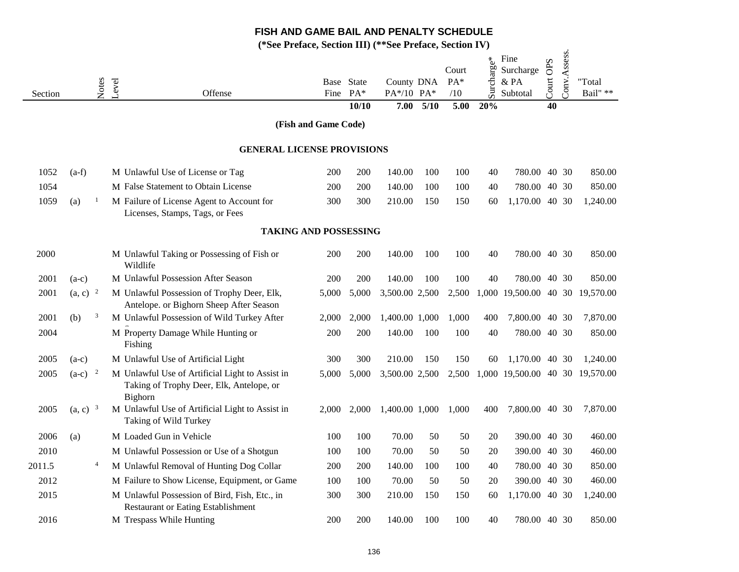|         |                       |                |       |                                                                                                        | $\alpha$ i chace, because $\mathbf{m}$ $\mathbf{v}$ |                     | $\mathbf{v}$ . There,    |      |                       |            |                                       |                     |              |                    |
|---------|-----------------------|----------------|-------|--------------------------------------------------------------------------------------------------------|-----------------------------------------------------|---------------------|--------------------------|------|-----------------------|------------|---------------------------------------|---------------------|--------------|--------------------|
| Section |                       | Notes          | Level | Offense                                                                                                | Fine                                                | Base State<br>$PA*$ | County DNA<br>PA*/10 PA* |      | Court<br>$PA*$<br>/10 | Surcharge* | Fine<br>Surcharge<br>& PA<br>Subtotal | <b>OPS</b><br>Court | Conv.Assess. | "Total<br>Bail" ** |
|         |                       |                |       |                                                                                                        |                                                     | 10/10               | 7.00                     | 5/10 | 5.00                  | 20%        |                                       | 40                  |              |                    |
|         |                       |                |       |                                                                                                        | (Fish and Game Code)                                |                     |                          |      |                       |            |                                       |                     |              |                    |
|         |                       |                |       | <b>GENERAL LICENSE PROVISIONS</b>                                                                      |                                                     |                     |                          |      |                       |            |                                       |                     |              |                    |
| 1052    | $(a-f)$               |                |       | M Unlawful Use of License or Tag                                                                       | 200                                                 | 200                 | 140.00                   | 100  | 100                   | 40         | 780.00 40 30                          |                     |              | 850.00             |
| 1054    |                       |                |       | M False Statement to Obtain License                                                                    | 200                                                 | 200                 | 140.00                   | 100  | 100                   | 40         | 780.00 40 30                          |                     |              | 850.00             |
| 1059    | (a)                   | $\overline{1}$ |       | M Failure of License Agent to Account for<br>Licenses, Stamps, Tags, or Fees                           | 300                                                 | 300                 | 210.00                   | 150  | 150                   | 60         | 1,170.00 40 30                        |                     |              | 1,240.00           |
|         |                       |                |       | <b>TAKING AND POSSESSING</b>                                                                           |                                                     |                     |                          |      |                       |            |                                       |                     |              |                    |
| 2000    |                       |                |       | M Unlawful Taking or Possessing of Fish or<br>Wildlife                                                 | 200                                                 | 200                 | 140.00                   | 100  | 100                   | 40         | 780.00 40 30                          |                     |              | 850.00             |
| 2001    | $(a-c)$               |                |       | M Unlawful Possession After Season                                                                     | 200                                                 | 200                 | 140.00                   | 100  | 100                   | 40         | 780.00 40 30                          |                     |              | 850.00             |
| 2001    | $(a, c)$ <sup>2</sup> |                |       | M Unlawful Possession of Trophy Deer, Elk,<br>Antelope. or Bighorn Sheep After Season                  | 5,000                                               | 5,000               | 3,500.00 2,500           |      | 2,500                 |            | 1,000 19,500.00 40 30                 |                     |              | 19,570.00          |
| 2001    | (b)                   | 3              |       | M Unlawful Possession of Wild Turkey After                                                             | 2,000                                               | 2,000               | 1,400.00 1,000           |      | 1,000                 | 400        | 7,800.00 40 30                        |                     |              | 7,870.00           |
| 2004    |                       |                |       | M Property Damage While Hunting or<br>Fishing                                                          | 200                                                 | 200                 | 140.00                   | 100  | 100                   | 40         | 780.00 40 30                          |                     |              | 850.00             |
| 2005    | $(a-c)$               |                |       | M Unlawful Use of Artificial Light                                                                     | 300                                                 | 300                 | 210.00                   | 150  | 150                   | 60         | 1,170.00 40 30                        |                     |              | 1,240.00           |
| 2005    | $(a-c)^{-2}$          |                |       | M Unlawful Use of Artificial Light to Assist in<br>Taking of Trophy Deer, Elk, Antelope, or<br>Bighorn | 5,000                                               | 5,000               | 3,500.00 2,500           |      |                       |            | 2,500 1,000 19,500.00 40 30 19,570.00 |                     |              |                    |
| 2005    | $(a, c)$ <sup>3</sup> |                |       | M Unlawful Use of Artificial Light to Assist in<br>Taking of Wild Turkey                               | 2,000                                               | 2,000               | 1,400.00 1,000           |      | 1,000                 | 400        | 7,800.00 40 30                        |                     |              | 7,870.00           |
| 2006    | (a)                   |                |       | M Loaded Gun in Vehicle                                                                                | 100                                                 | 100                 | 70.00                    | 50   | 50                    | 20         | 390.00 40 30                          |                     |              | 460.00             |
| 2010    |                       |                |       | M Unlawful Possession or Use of a Shotgun                                                              | 100                                                 | 100                 | 70.00                    | 50   | 50                    | 20         | 390.00 40 30                          |                     |              | 460.00             |
| 2011.5  |                       | $\overline{4}$ |       | M Unlawful Removal of Hunting Dog Collar                                                               | 200                                                 | 200                 | 140.00                   | 100  | 100                   | 40         | 780.00 40 30                          |                     |              | 850.00             |
| 2012    |                       |                |       | M Failure to Show License, Equipment, or Game                                                          | 100                                                 | 100                 | 70.00                    | 50   | 50                    | 20         | 390.00 40 30                          |                     |              | 460.00             |
| 2015    |                       |                |       | M Unlawful Possession of Bird, Fish, Etc., in<br><b>Restaurant or Eating Establishment</b>             | 300                                                 | 300                 | 210.00                   | 150  | 150                   | 60         | 1,170.00 40 30                        |                     |              | 1,240.00           |
| 2016    |                       |                |       | M Trespass While Hunting                                                                               | 200                                                 | 200                 | 140.00                   | 100  | 100                   | 40         | 780.00 40 30                          |                     |              | 850.00             |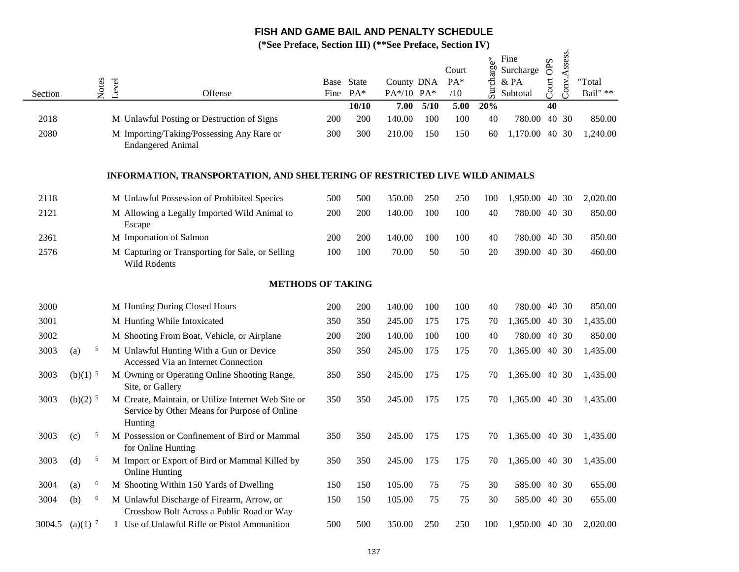|         |                       |       |       |                                                                                                                |     | $11$ crace, because $III$ | $vec_1$ . $dot_2$        |      |                       |            |                                          |           |              |                            |
|---------|-----------------------|-------|-------|----------------------------------------------------------------------------------------------------------------|-----|---------------------------|--------------------------|------|-----------------------|------------|------------------------------------------|-----------|--------------|----------------------------|
| Section |                       | Notes | Level | Offense                                                                                                        |     | Base State<br>Fine PA*    | County DNA<br>PA*/10 PA* |      | Court<br>$PA*$<br>/10 | Surcharge* | Fine<br>Surcharge<br>$\&$ PA<br>Subtotal | Court OPS | Conv.Assess. | "Total<br>Bail" $\ast\ast$ |
|         |                       |       |       |                                                                                                                |     | 10/10                     | 7.00                     | 5/10 | 5.00                  | 20%        |                                          | 40        |              |                            |
| 2018    |                       |       |       | M Unlawful Posting or Destruction of Signs                                                                     | 200 | 200                       | 140.00                   | 100  | 100                   | 40         | 780.00 40 30                             |           |              | 850.00                     |
| 2080    |                       |       |       | M Importing/Taking/Possessing Any Rare or<br><b>Endangered Animal</b>                                          | 300 | 300                       | 210.00                   | 150  | 150                   | 60         | 1,170.00 40 30                           |           |              | 1,240.00                   |
|         |                       |       |       | INFORMATION, TRANSPORTATION, AND SHELTERING OF RESTRICTED LIVE WILD ANIMALS                                    |     |                           |                          |      |                       |            |                                          |           |              |                            |
| 2118    |                       |       |       | M Unlawful Possession of Prohibited Species                                                                    | 500 | 500                       | 350.00                   | 250  | 250                   | 100        | 1,950.00 40 30                           |           |              | 2,020.00                   |
| 2121    |                       |       |       | M Allowing a Legally Imported Wild Animal to<br>Escape                                                         | 200 | 200                       | 140.00                   | 100  | 100                   | 40         | 780.00 40 30                             |           |              | 850.00                     |
| 2361    |                       |       |       | M Importation of Salmon                                                                                        | 200 | 200                       | 140.00                   | 100  | 100                   | 40         | 780.00 40 30                             |           |              | 850.00                     |
| 2576    |                       |       |       | M Capturing or Transporting for Sale, or Selling<br>Wild Rodents                                               | 100 | 100                       | 70.00                    | 50   | 50                    | 20         | 390.00 40 30                             |           |              | 460.00                     |
|         |                       |       |       | <b>METHODS OF TAKING</b>                                                                                       |     |                           |                          |      |                       |            |                                          |           |              |                            |
| 3000    |                       |       |       | M Hunting During Closed Hours                                                                                  | 200 | 200                       | 140.00                   | 100  | 100                   | 40         | 780.00 40 30                             |           |              | 850.00                     |
| 3001    |                       |       |       | M Hunting While Intoxicated                                                                                    | 350 | 350                       | 245.00                   | 175  | 175                   | 70         | 1,365.00 40 30                           |           |              | 1,435.00                   |
| 3002    |                       |       |       | M Shooting From Boat, Vehicle, or Airplane                                                                     | 200 | 200                       | 140.00                   | 100  | 100                   | 40         | 780.00 40 30                             |           |              | 850.00                     |
| 3003    | (a)                   | 5     |       | M Unlawful Hunting With a Gun or Device<br>Accessed Via an Internet Connection                                 | 350 | 350                       | 245.00                   | 175  | 175                   | 70         | 1,365.00 40 30                           |           |              | 1,435.00                   |
| 3003    | $(b)(1)$ <sup>5</sup> |       |       | M Owning or Operating Online Shooting Range,<br>Site, or Gallery                                               | 350 | 350                       | 245.00                   | 175  | 175                   | 70         | 1,365.00 40 30                           |           |              | 1,435.00                   |
| 3003    | $(b)(2)^5$            |       |       | M Create, Maintain, or Utilize Internet Web Site or<br>Service by Other Means for Purpose of Online<br>Hunting | 350 | 350                       | 245.00                   | 175  | 175                   | 70         | 1,365.00 40 30                           |           |              | 1,435.00                   |
| 3003    | (c)                   | 5     |       | M Possession or Confinement of Bird or Mammal<br>for Online Hunting                                            | 350 | 350                       | 245.00                   | 175  | 175                   | 70         | 1,365.00 40 30                           |           |              | 1,435.00                   |
| 3003    | (d)                   | 5     |       | M Import or Export of Bird or Mammal Killed by<br><b>Online Hunting</b>                                        | 350 | 350                       | 245.00                   | 175  | 175                   | 70         | 1,365.00 40 30                           |           |              | 1,435.00                   |
| 3004    | (a)                   | 6     |       | M Shooting Within 150 Yards of Dwelling                                                                        | 150 | 150                       | 105.00                   | 75   | 75                    | 30         | 585.00 40 30                             |           |              | 655.00                     |
| 3004    | (b)                   | 6     |       | M Unlawful Discharge of Firearm, Arrow, or<br>Crossbow Bolt Across a Public Road or Way                        | 150 | 150                       | 105.00                   | 75   | 75                    | 30         | 585.00 40 30                             |           |              | 655.00                     |
| 3004.5  | $(a)(1)$ <sup>7</sup> |       |       | I Use of Unlawful Rifle or Pistol Ammunition                                                                   | 500 | 500                       | 350.00                   | 250  | 250                   | 100        | 1,950.00 40 30                           |           |              | 2,020.00                   |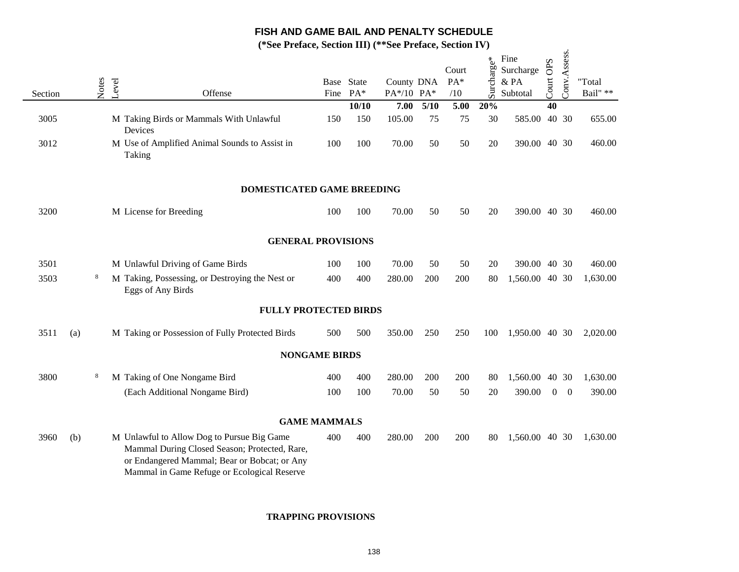**(\*See Preface, Section III) (\*\*See Preface, Section IV)**

 $\ddot{\phantom{a}}$ 

| Section |     | Notes | Level | Offense                                                                                                                                                                                    | Base State<br>Fine | $PA*$        | County DNA<br>PA*/10 PA* |            | Court<br>$PA*$<br>/10 | Surcharge* | Fine<br>Surcharge<br>& PA<br>Subtotal | Court OPS | Conv.Assess. | "Total<br>Bail" $\ast\ast$ |
|---------|-----|-------|-------|--------------------------------------------------------------------------------------------------------------------------------------------------------------------------------------------|--------------------|--------------|--------------------------|------------|-----------------------|------------|---------------------------------------|-----------|--------------|----------------------------|
| 3005    |     |       |       |                                                                                                                                                                                            | 150                | 10/10<br>150 | 7.00<br>105.00           | 5/10<br>75 | 5.00<br>75            | 20%<br>30  |                                       | 40        | 40 30        | 655.00                     |
|         |     |       |       | M Taking Birds or Mammals With Unlawful<br>Devices                                                                                                                                         |                    |              |                          |            |                       |            | 585.00                                |           |              |                            |
| 3012    |     |       |       | M Use of Amplified Animal Sounds to Assist in<br>Taking                                                                                                                                    | 100                | 100          | 70.00                    | 50         | 50                    | $20\,$     | 390.00 40 30                          |           |              | 460.00                     |
|         |     |       |       | DOMESTICATED GAME BREEDING                                                                                                                                                                 |                    |              |                          |            |                       |            |                                       |           |              |                            |
| 3200    |     |       |       | M License for Breeding                                                                                                                                                                     | 100                | 100          | 70.00                    | 50         | 50                    | 20         | 390.00 40 30                          |           |              | 460.00                     |
|         |     |       |       | <b>GENERAL PROVISIONS</b>                                                                                                                                                                  |                    |              |                          |            |                       |            |                                       |           |              |                            |
| 3501    |     |       |       | M Unlawful Driving of Game Birds                                                                                                                                                           | 100                | 100          | 70.00                    | 50         | 50                    | 20         | 390.00 40 30                          |           |              | 460.00                     |
| 3503    |     | 8     |       | M Taking, Possessing, or Destroying the Nest or<br>Eggs of Any Birds                                                                                                                       | 400                | 400          | 280.00                   | 200        | 200                   | 80         | 1,560.00 40 30                        |           |              | 1,630.00                   |
|         |     |       |       | <b>FULLY PROTECTED BIRDS</b>                                                                                                                                                               |                    |              |                          |            |                       |            |                                       |           |              |                            |
| 3511    | (a) |       |       | M Taking or Possession of Fully Protected Birds                                                                                                                                            | 500                | 500          | 350.00                   | 250        | 250                   | 100        | 1,950.00 40 30                        |           |              | 2,020.00                   |
|         |     |       |       | <b>NONGAME BIRDS</b>                                                                                                                                                                       |                    |              |                          |            |                       |            |                                       |           |              |                            |
| 3800    |     | 8     |       | M Taking of One Nongame Bird                                                                                                                                                               | 400                | 400          | 280.00                   | 200        | 200                   | 80         | 1,560.00 40 30                        |           |              | 1,630.00                   |
|         |     |       |       | (Each Additional Nongame Bird)                                                                                                                                                             | 100                | 100          | 70.00                    | 50         | 50                    | 20         | 390.00                                |           | $0 \quad 0$  | 390.00                     |
|         |     |       |       | <b>GAME MAMMALS</b>                                                                                                                                                                        |                    |              |                          |            |                       |            |                                       |           |              |                            |
| 3960    | (b) |       |       | M Unlawful to Allow Dog to Pursue Big Game<br>Mammal During Closed Season; Protected, Rare,<br>or Endangered Mammal; Bear or Bobcat; or Any<br>Mammal in Game Refuge or Ecological Reserve | 400                | 400          | 280.00                   | 200        | 200                   | 80         | 1,560.00 40 30                        |           |              | 1,630.00                   |

#### **TRAPPING PROVISIONS**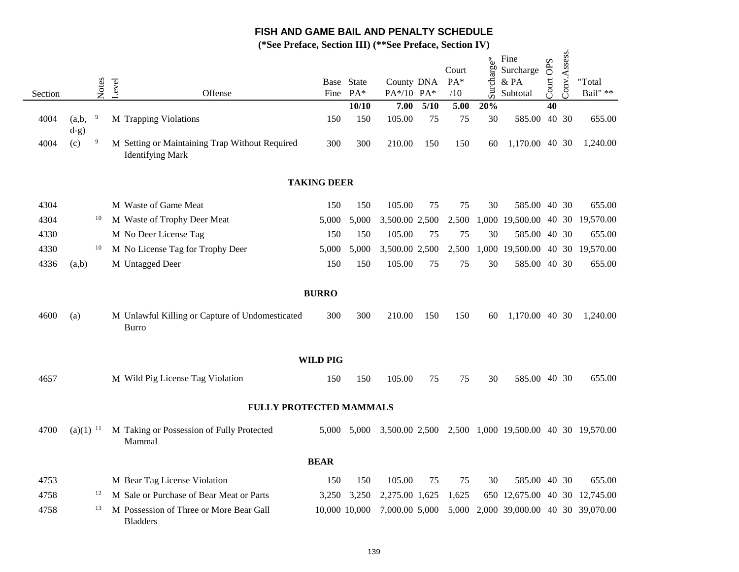|         |                        |       |       | $\mathcal{L}$ Let $\mathcal{L}$ Let $\mathcal{L}$ be $\mathcal{L}$ and $\mathcal{L}$ and $\mathcal{L}$ |                    |                     |                          |        | $\overline{O}$ Lettrace, $\overline{O}$ centrace $\overline{I}$ |            |                                                      |           |              |                    |
|---------|------------------------|-------|-------|--------------------------------------------------------------------------------------------------------|--------------------|---------------------|--------------------------|--------|-----------------------------------------------------------------|------------|------------------------------------------------------|-----------|--------------|--------------------|
| Section |                        | Notes | Level | Offense                                                                                                | Fine               | Base State<br>$PA*$ | County DNA<br>PA*/10 PA* |        | Court<br>PA*<br>/10                                             | Surcharge* | Fine<br>Surcharge<br>$\&$ PA<br>Subtotal             | Court OPS | Conv.Assess. | "Total<br>Bail" ** |
|         |                        |       |       |                                                                                                        |                    | 10/10               | 7.00                     | $5/10$ | 5.00                                                            | 20%        |                                                      | 40        |              |                    |
| 4004    | (a,b,<br>$d-g)$        | 9     |       | M Trapping Violations                                                                                  | 150                | 150                 | 105.00                   | 75     | 75                                                              | 30         | 585.00 40 30                                         |           |              | 655.00             |
| 4004    | (c)                    | 9     |       | M Setting or Maintaining Trap Without Required<br><b>Identifying Mark</b>                              | 300                | 300                 | 210.00                   | 150    | 150                                                             | 60         | 1,170.00 40 30                                       |           |              | 1,240.00           |
|         |                        |       |       |                                                                                                        | <b>TAKING DEER</b> |                     |                          |        |                                                                 |            |                                                      |           |              |                    |
| 4304    |                        |       |       | M Waste of Game Meat                                                                                   | 150                | 150                 | 105.00                   | 75     | 75                                                              | 30         | 585.00 40 30                                         |           |              | 655.00             |
| 4304    |                        | 10    |       | M Waste of Trophy Deer Meat                                                                            | 5,000              | 5,000               | 3,500.00 2,500           |        | 2,500                                                           |            | 1,000 19,500.00 40 30 19,570.00                      |           |              |                    |
| 4330    |                        |       |       | M No Deer License Tag                                                                                  | 150                | 150                 | 105.00                   | 75     | 75                                                              | 30         | 585.00 40 30                                         |           |              | 655.00             |
| 4330    |                        | 10    |       | M No License Tag for Trophy Deer                                                                       | 5,000              | 5,000               | 3,500.00 2,500           |        | 2,500                                                           |            | 1,000 19,500.00 40 30 19,570.00                      |           |              |                    |
| 4336    | (a,b)                  |       |       | M Untagged Deer                                                                                        | 150                | 150                 | 105.00                   | 75     | 75                                                              | 30         | 585.00 40 30                                         |           |              | 655.00             |
|         |                        |       |       |                                                                                                        | <b>BURRO</b>       |                     |                          |        |                                                                 |            |                                                      |           |              |                    |
| 4600    | (a)                    |       |       | M Unlawful Killing or Capture of Undomesticated<br><b>Burro</b>                                        | 300                | 300                 | 210.00                   | 150    | 150                                                             | 60         | 1,170.00 40 30                                       |           |              | 1,240.00           |
|         |                        |       |       |                                                                                                        | <b>WILD PIG</b>    |                     |                          |        |                                                                 |            |                                                      |           |              |                    |
| 4657    |                        |       |       | M Wild Pig License Tag Violation                                                                       | 150                | 150                 | 105.00                   | 75     | 75                                                              | 30         | 585.00 40 30                                         |           |              | 655.00             |
|         |                        |       |       | FULLY PROTECTED MAMMALS                                                                                |                    |                     |                          |        |                                                                 |            |                                                      |           |              |                    |
| 4700    | $(a)(1)$ <sup>11</sup> |       |       | M Taking or Possession of Fully Protected<br>Mammal                                                    | 5,000              | 5,000               |                          |        |                                                                 |            | 3,500.00 2,500 2,500 1,000 19,500.00 40 30 19,570.00 |           |              |                    |
|         |                        |       |       |                                                                                                        | <b>BEAR</b>        |                     |                          |        |                                                                 |            |                                                      |           |              |                    |
| 4753    |                        |       |       | M Bear Tag License Violation                                                                           | 150                | 150                 | 105.00                   | 75     | 75                                                              | 30         | 585.00 40 30                                         |           |              | 655.00             |
| 4758    |                        | 12    |       | M Sale or Purchase of Bear Meat or Parts                                                               | 3,250              | 3,250               | 2,275.00 1,625           |        | 1,625                                                           |            | 650 12,675.00 40 30 12,745.00                        |           |              |                    |
| 4758    |                        | 13    |       | M Possession of Three or More Bear Gall<br><b>Bladders</b>                                             | 10,000 10,000      |                     | 7,000.00 5,000           |        |                                                                 |            | 5,000 2,000 39,000.00 40 30 39,070.00                |           |              |                    |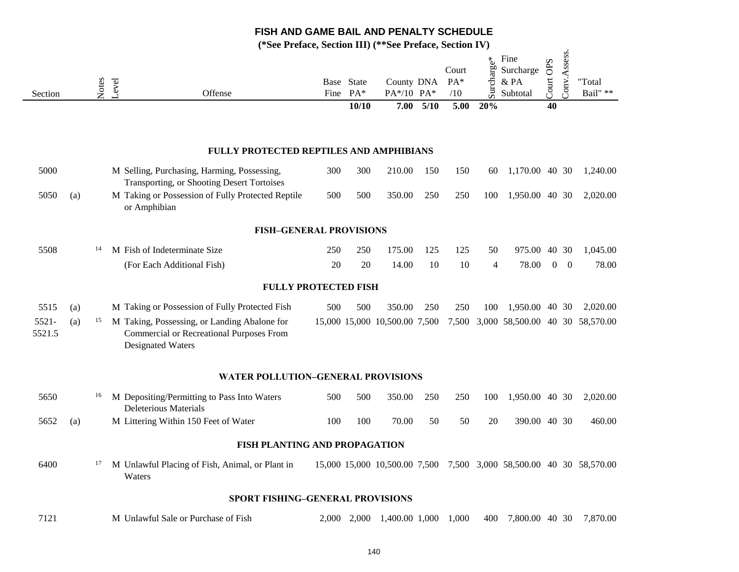|                 |     |       |       | $\mathcal{L}$ is a contract, because $\mathbf{H}$                                                             |      |                              |                                  |      | $\overline{O}$ Lettract, $O$ ctriuil 1 v |                   |                                          |                    |                |                                                                     |
|-----------------|-----|-------|-------|---------------------------------------------------------------------------------------------------------------|------|------------------------------|----------------------------------|------|------------------------------------------|-------------------|------------------------------------------|--------------------|----------------|---------------------------------------------------------------------|
| Section         |     | Notes | Level | Offense                                                                                                       | Fine | Base State<br>$PA*$<br>10/10 | County DNA<br>PA*/10 PA*<br>7.00 | 5/10 | Court<br>$PA*$<br>/10<br>5.00            | Surcharge*<br>20% | Fine<br>Surcharge<br>$\&$ PA<br>Subtotal | OPS<br>Court<br>40 | Conv.Assess.   | "Total<br>Bail" **                                                  |
|                 |     |       |       |                                                                                                               |      |                              |                                  |      |                                          |                   |                                          |                    |                |                                                                     |
|                 |     |       |       | FULLY PROTECTED REPTILES AND AMPHIBIANS                                                                       |      |                              |                                  |      |                                          |                   |                                          |                    |                |                                                                     |
| 5000            |     |       |       | M Selling, Purchasing, Harming, Possessing,<br>Transporting, or Shooting Desert Tortoises                     | 300  | 300                          | 210.00                           | 150  | 150                                      | 60                | 1,170.00 40 30                           |                    |                | 1,240.00                                                            |
| 5050            | (a) |       |       | M Taking or Possession of Fully Protected Reptile<br>or Amphibian                                             | 500  | 500                          | 350.00                           | 250  | 250                                      | 100               | 1,950.00 40 30                           |                    |                | 2,020.00                                                            |
|                 |     |       |       | <b>FISH-GENERAL PROVISIONS</b>                                                                                |      |                              |                                  |      |                                          |                   |                                          |                    |                |                                                                     |
| 5508            |     | 14    |       | M Fish of Indeterminate Size                                                                                  | 250  | 250                          | 175.00                           | 125  | 125                                      | 50                | 975.00                                   | 40 30              |                | 1,045.00                                                            |
|                 |     |       |       | (For Each Additional Fish)                                                                                    | 20   | 20                           | 14.00                            | 10   | 10                                       | $\overline{4}$    | 78.00                                    | $\mathbf{0}$       | $\overline{0}$ | 78.00                                                               |
|                 |     |       |       | <b>FULLY PROTECTED FISH</b>                                                                                   |      |                              |                                  |      |                                          |                   |                                          |                    |                |                                                                     |
| 5515            | (a) |       |       | M Taking or Possession of Fully Protected Fish                                                                | 500  | 500                          | 350.00                           | 250  | 250                                      | 100               | 1,950.00 40 30                           |                    |                | 2,020.00                                                            |
| 5521-<br>5521.5 | (a) | 15    |       | M Taking, Possessing, or Landing Abalone for<br>Commercial or Recreational Purposes From<br>Designated Waters |      |                              | 15,000 15,000 10,500.00 7,500    |      |                                          |                   |                                          |                    |                | 7,500 3,000 58,500.00 40 30 58,570.00                               |
|                 |     |       |       | WATER POLLUTION-GENERAL PROVISIONS                                                                            |      |                              |                                  |      |                                          |                   |                                          |                    |                |                                                                     |
| 5650            |     | 16    |       | M Depositing/Permitting to Pass Into Waters<br><b>Deleterious Materials</b>                                   | 500  | 500                          | 350.00                           | 250  | 250                                      | 100               | 1,950.00 40 30                           |                    |                | 2,020.00                                                            |
| 5652            | (a) |       |       | M Littering Within 150 Feet of Water                                                                          | 100  | 100                          | 70.00                            | 50   | 50                                       | 20                | 390.00 40 30                             |                    |                | 460.00                                                              |
|                 |     |       |       | FISH PLANTING AND PROPAGATION                                                                                 |      |                              |                                  |      |                                          |                   |                                          |                    |                |                                                                     |
| 6400            |     | 17    |       | M Unlawful Placing of Fish, Animal, or Plant in<br>Waters                                                     |      |                              |                                  |      |                                          |                   |                                          |                    |                | 15,000 15,000 10,500.00 7,500 7,500 3,000 58,500.00 40 30 58,570.00 |
|                 |     |       |       | SPORT FISHING-GENERAL PROVISIONS                                                                              |      |                              |                                  |      |                                          |                   |                                          |                    |                |                                                                     |
| 7121            |     |       |       | M Unlawful Sale or Purchase of Fish                                                                           |      |                              | 2,000 2,000 1,400.00 1,000 1,000 |      |                                          | 400               | 7,800.00 40 30                           |                    |                | 7,870.00                                                            |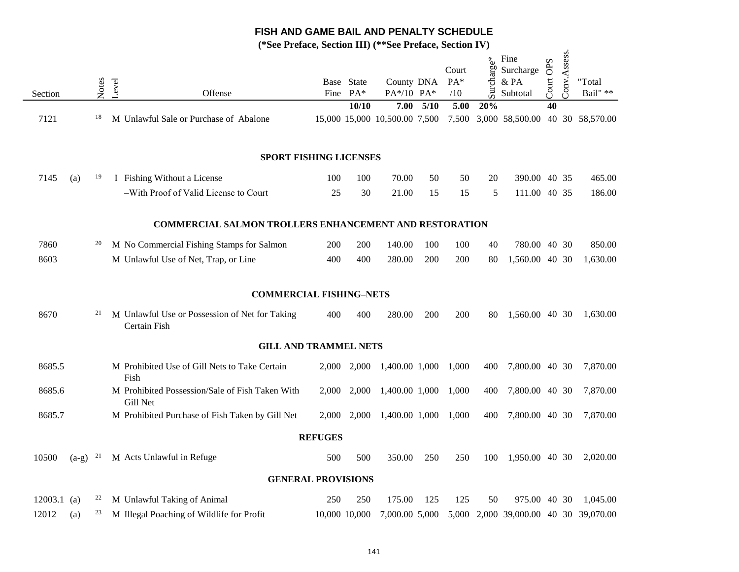|               |         |       |       |                                                                | $\blacksquare$ |                        | $\mathbf{v}$ . The $\mathbf{v}$ |      |                       |            |                                       |           |              |                    |
|---------------|---------|-------|-------|----------------------------------------------------------------|----------------|------------------------|---------------------------------|------|-----------------------|------------|---------------------------------------|-----------|--------------|--------------------|
| Section       |         | Notes | Level | Offense                                                        |                | Base State<br>Fine PA* | County DNA<br>PA*/10 PA*        |      | Court<br>$PA*$<br>/10 | Surcharge* | Fine<br>Surcharge<br>& PA<br>Subtotal | Court OPS | Conv.Assess. | "Total<br>Bail" ** |
|               |         |       |       |                                                                |                | 10/10                  | 7.00                            | 5/10 | 5.00                  | 20%        |                                       | 40        |              |                    |
| 7121          |         | 18    |       | M Unlawful Sale or Purchase of Abalone                         |                |                        | 15,000 15,000 10,500.00 7,500   |      | 7,500                 |            | 3,000 58,500.00 40 30 58,570.00       |           |              |                    |
|               |         |       |       | <b>SPORT FISHING LICENSES</b>                                  |                |                        |                                 |      |                       |            |                                       |           |              |                    |
| 7145          | (a)     | 19    |       | I Fishing Without a License                                    | 100            | 100                    | 70.00                           | 50   | 50                    | 20         | 390.00 40 35                          |           |              | 465.00             |
|               |         |       |       | -With Proof of Valid License to Court                          | 25             | 30                     | 21.00                           | 15   | 15                    | 5          | 111.00 40 35                          |           |              | 186.00             |
|               |         |       |       | <b>COMMERCIAL SALMON TROLLERS ENHANCEMENT AND RESTORATION</b>  |                |                        |                                 |      |                       |            |                                       |           |              |                    |
| 7860          |         | 20    |       | M No Commercial Fishing Stamps for Salmon                      | 200            | 200                    | 140.00                          | 100  | 100                   | 40         | 780.00 40 30                          |           |              | 850.00             |
| 8603          |         |       |       | M Unlawful Use of Net, Trap, or Line                           | 400            | 400                    | 280.00                          | 200  | 200                   | 80         | 1,560.00 40 30                        |           |              | 1,630.00           |
|               |         |       |       | <b>COMMERCIAL FISHING-NETS</b>                                 |                |                        |                                 |      |                       |            |                                       |           |              |                    |
| 8670          |         | 21    |       | M Unlawful Use or Possession of Net for Taking<br>Certain Fish | 400            | 400                    | 280.00                          | 200  | 200                   | 80         | 1,560.00 40 30                        |           |              | 1,630.00           |
|               |         |       |       | <b>GILL AND TRAMMEL NETS</b>                                   |                |                        |                                 |      |                       |            |                                       |           |              |                    |
| 8685.5        |         |       | Fish  | M Prohibited Use of Gill Nets to Take Certain                  | 2,000          | 2,000                  | 1,400.00 1,000                  |      | 1,000                 | 400        | 7,800.00 40 30                        |           |              | 7,870.00           |
| 8685.6        |         |       |       | M Prohibited Possession/Sale of Fish Taken With<br>Gill Net    | 2,000          | 2,000                  | 1,400.00 1,000                  |      | 1,000                 | 400        | 7,800.00 40 30                        |           |              | 7,870.00           |
| 8685.7        |         |       |       | M Prohibited Purchase of Fish Taken by Gill Net                |                | 2,000 2,000            | 1,400.00 1,000                  |      | 1,000                 | 400        | 7,800.00 40 30                        |           |              | 7,870.00           |
|               |         |       |       |                                                                | <b>REFUGES</b> |                        |                                 |      |                       |            |                                       |           |              |                    |
| 10500         | $(a-g)$ | 21    |       | M Acts Unlawful in Refuge                                      | 500            | 500                    | 350.00                          | 250  | 250                   | 100        | 1,950.00 40 30                        |           |              | 2,020.00           |
|               |         |       |       | <b>GENERAL PROVISIONS</b>                                      |                |                        |                                 |      |                       |            |                                       |           |              |                    |
| $12003.1$ (a) |         | 22    |       | M Unlawful Taking of Animal                                    | 250            | 250                    | 175.00                          | 125  | 125                   | 50         | 975.00 40 30                          |           |              | 1.045.00           |
| 12012         | (a)     | 23    |       | M Illegal Poaching of Wildlife for Profit                      |                | 10,000 10,000          | 7,000.00 5,000                  |      |                       |            | 5,000 2,000 39,000.00 40 30 39,070.00 |           |              |                    |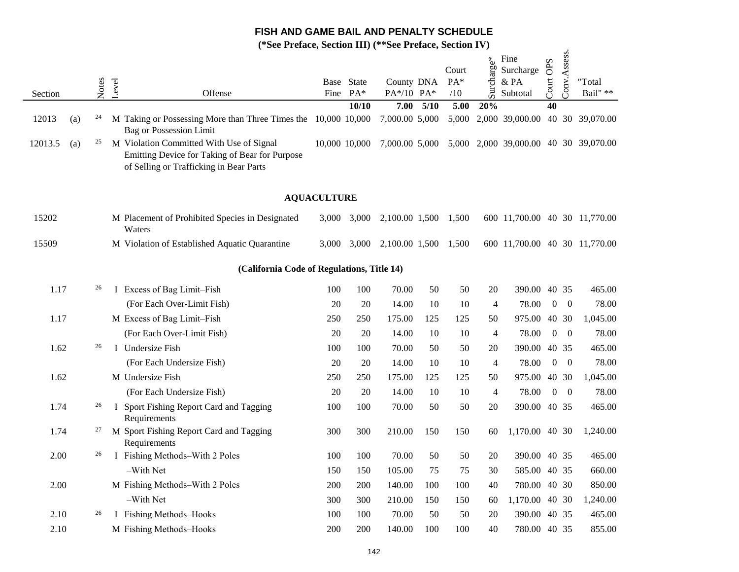|         |     |       |       | $\alpha$ increased, because $\mathbf{m}_l$                                                                                            |                    |                     | $\mathbf{v}$ . There,    |               |                       |                |                                       |                  |                          |                    |
|---------|-----|-------|-------|---------------------------------------------------------------------------------------------------------------------------------------|--------------------|---------------------|--------------------------|---------------|-----------------------|----------------|---------------------------------------|------------------|--------------------------|--------------------|
| Section |     | Notes | Level | Offense                                                                                                                               | Fine               | Base State<br>$PA*$ | County DNA<br>PA*/10 PA* |               | Court<br>$PA*$<br>/10 | Surcharge*     | Fine<br>Surcharge<br>& PA<br>Subtotal | Court OPS        | Conv.Assess.             | "Total<br>Bail" ** |
|         |     |       |       |                                                                                                                                       |                    | 10/10               |                          | $7.00$ $5/10$ | 5.00                  | 20%            |                                       | 40               |                          |                    |
| 12013   | (a) | 24    |       | M Taking or Possessing More than Three Times the 10,000 10,000<br><b>Bag or Possession Limit</b>                                      |                    |                     | 7,000.00 5,000           |               | 5,000                 |                | 2,000 39,000.00                       |                  |                          | 40 30 39,070.00    |
| 12013.5 | (a) | 25    |       | M Violation Committed With Use of Signal<br>Emitting Device for Taking of Bear for Purpose<br>of Selling or Trafficking in Bear Parts | 10,000 10,000      |                     | 7,000.00 5,000           |               |                       |                | 5,000 2,000 39,000.00 40 30 39,070.00 |                  |                          |                    |
|         |     |       |       |                                                                                                                                       | <b>AQUACULTURE</b> |                     |                          |               |                       |                |                                       |                  |                          |                    |
| 15202   |     |       |       | M Placement of Prohibited Species in Designated<br>Waters                                                                             |                    | 3,000 3,000         | 2,100.00 1,500           |               | 1,500                 |                | 600 11,700.00 40 30 11,770.00         |                  |                          |                    |
| 15509   |     |       |       | M Violation of Established Aquatic Quarantine                                                                                         |                    | 3,000 3,000         | 2,100.00 1,500           |               | 1,500                 |                | 600 11,700.00 40 30 11,770.00         |                  |                          |                    |
|         |     |       |       | (California Code of Regulations, Title 14)                                                                                            |                    |                     |                          |               |                       |                |                                       |                  |                          |                    |
| 1.17    |     | 26    |       | I Excess of Bag Limit-Fish                                                                                                            | 100                | 100                 | 70.00                    | 50            | 50                    | 20             | 390.00 40 35                          |                  |                          | 465.00             |
|         |     |       |       | (For Each Over-Limit Fish)                                                                                                            | 20                 | 20                  | 14.00                    | 10            | 10                    | $\overline{4}$ | 78.00                                 | $\boldsymbol{0}$ | $\overline{\phantom{0}}$ | 78.00              |
| 1.17    |     |       |       | M Excess of Bag Limit-Fish                                                                                                            | 250                | 250                 | 175.00                   | 125           | 125                   | 50             | 975.00 40 30                          |                  |                          | 1,045.00           |
|         |     |       |       | (For Each Over-Limit Fish)                                                                                                            | 20                 | 20                  | 14.00                    | 10            | 10                    | $\overline{4}$ | 78.00                                 | $\boldsymbol{0}$ | $\overline{0}$           | 78.00              |
| 1.62    |     | 26    |       | I Undersize Fish                                                                                                                      | 100                | 100                 | 70.00                    | 50            | 50                    | 20             | 390.00 40 35                          |                  |                          | 465.00             |
|         |     |       |       | (For Each Undersize Fish)                                                                                                             | 20                 | 20                  | 14.00                    | 10            | 10                    | $\overline{4}$ | 78.00                                 | $\boldsymbol{0}$ | $\overline{0}$           | 78.00              |
| 1.62    |     |       |       | M Undersize Fish                                                                                                                      | 250                | 250                 | 175.00                   | 125           | 125                   | 50             | 975.00                                | 40 30            |                          | 1,045.00           |
|         |     |       |       | (For Each Undersize Fish)                                                                                                             | 20                 | 20                  | 14.00                    | 10            | 10                    | $\overline{4}$ | 78.00                                 | $\boldsymbol{0}$ | $\overline{0}$           | 78.00              |
| 1.74    |     | 26    |       | I Sport Fishing Report Card and Tagging<br>Requirements                                                                               | 100                | 100                 | 70.00                    | 50            | 50                    | 20             | 390.00 40 35                          |                  |                          | 465.00             |
| 1.74    |     | 27    |       | M Sport Fishing Report Card and Tagging<br>Requirements                                                                               | 300                | 300                 | 210.00                   | 150           | 150                   | 60             | 1,170.00 40 30                        |                  |                          | 1,240.00           |
| 2.00    |     | 26    |       | I Fishing Methods-With 2 Poles                                                                                                        | 100                | 100                 | 70.00                    | 50            | 50                    | 20             | 390.00 40 35                          |                  |                          | 465.00             |
|         |     |       |       | -With Net                                                                                                                             | 150                | 150                 | 105.00                   | 75            | 75                    | 30             | 585.00 40 35                          |                  |                          | 660.00             |
| 2.00    |     |       |       | M Fishing Methods-With 2 Poles                                                                                                        | 200                | 200                 | 140.00                   | 100           | 100                   | 40             | 780.00 40 30                          |                  |                          | 850.00             |
|         |     |       |       | -With Net                                                                                                                             | 300                | 300                 | 210.00                   | 150           | 150                   | 60             | 1,170.00 40 30                        |                  |                          | 1,240.00           |
| 2.10    |     | 26    |       | I Fishing Methods-Hooks                                                                                                               | 100                | 100                 | 70.00                    | 50            | 50                    | 20             | 390.00 40 35                          |                  |                          | 465.00             |
| 2.10    |     |       |       | M Fishing Methods-Hooks                                                                                                               | 200                | 200                 | 140.00                   | 100           | 100                   | 40             | 780.00 40 35                          |                  |                          | 855.00             |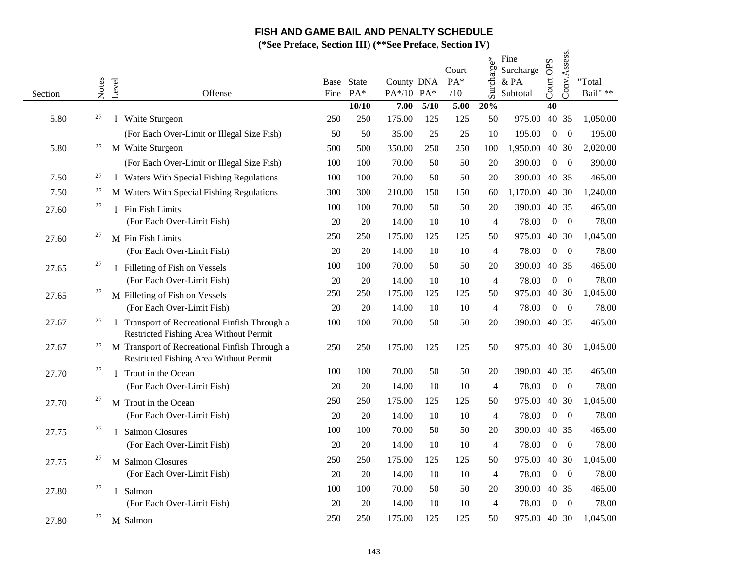|         |        |                                | $\mathcal{S}$ ( ) in that $\mathcal{S}$ , $\mathcal{S}$ is the set of $\mathcal{S}$ in $\mathcal{S}$ ( |                    |       |                          |      | $\mathcal{L}$ Let $\mathcal{L}$ Let $\mathcal{L}$ $\mathcal{L}$ $\mathcal{L}$ $\mathcal{L}$ $\mathcal{L}$ $\mathcal{L}$ $\mathcal{L}$ $\mathcal{L}$ $\mathcal{L}$ $\mathcal{L}$ $\mathcal{L}$ $\mathcal{L}$ $\mathcal{L}$ $\mathcal{L}$ $\mathcal{L}$ $\mathcal{L}$ $\mathcal{L}$ $\mathcal{L}$ $\mathcal{L}$ $\mathcal{L}$ $\mathcal{L}$ $\mathcal{L$ |                |                                       |                     |                |                            |
|---------|--------|--------------------------------|--------------------------------------------------------------------------------------------------------|--------------------|-------|--------------------------|------|--------------------------------------------------------------------------------------------------------------------------------------------------------------------------------------------------------------------------------------------------------------------------------------------------------------------------------------------------------|----------------|---------------------------------------|---------------------|----------------|----------------------------|
| Section | Notes  | Level                          | Offense                                                                                                | Base State<br>Fine | $PA*$ | County DNA<br>PA*/10 PA* |      | Court<br>$PA*$<br>/10                                                                                                                                                                                                                                                                                                                                  | Surcharge*     | Fine<br>Surcharge<br>& PA<br>Subtotal | <b>OPS</b><br>Court | Conv.Assess.   | "Total<br>Bail" $\ast\ast$ |
|         |        |                                |                                                                                                        |                    | 10/10 | 7.00                     | 5/10 | 5.00                                                                                                                                                                                                                                                                                                                                                   | 20%            |                                       | 40                  |                |                            |
| 5.80    | 27     | I White Sturgeon               |                                                                                                        | 250                | 250   | 175.00                   | 125  | 125                                                                                                                                                                                                                                                                                                                                                    | 50             | 975.00                                |                     | 40 35          | 1,050.00                   |
|         |        |                                | (For Each Over-Limit or Illegal Size Fish)                                                             | 50                 | 50    | 35.00                    | 25   | 25                                                                                                                                                                                                                                                                                                                                                     | 10             | 195.00                                | $\mathbf{0}$        | $\overline{0}$ | 195.00                     |
| 5.80    | 27     | M White Sturgeon               |                                                                                                        | 500                | 500   | 350.00                   | 250  | 250                                                                                                                                                                                                                                                                                                                                                    | 100            | 1,950.00                              |                     | 40 30          | 2,020.00                   |
|         |        |                                | (For Each Over-Limit or Illegal Size Fish)                                                             | 100                | 100   | 70.00                    | 50   | 50                                                                                                                                                                                                                                                                                                                                                     | 20             | 390.00                                | $\boldsymbol{0}$    | $\theta$       | 390.00                     |
| 7.50    | 27     |                                | I Waters With Special Fishing Regulations                                                              | 100                | 100   | 70.00                    | 50   | 50                                                                                                                                                                                                                                                                                                                                                     | 20             | 390.00                                |                     | 40 35          | 465.00                     |
| 7.50    | 27     |                                | M Waters With Special Fishing Regulations                                                              | 300                | 300   | 210.00                   | 150  | 150                                                                                                                                                                                                                                                                                                                                                    | 60             | 1,170.00                              |                     | 40 30          | 1,240.00                   |
| 27.60   | $27\,$ | I Fin Fish Limits              |                                                                                                        | 100                | 100   | 70.00                    | 50   | 50                                                                                                                                                                                                                                                                                                                                                     | 20             | 390.00                                |                     | 40 35          | 465.00                     |
|         |        | (For Each Over-Limit Fish)     |                                                                                                        | 20                 | 20    | 14.00                    | 10   | 10                                                                                                                                                                                                                                                                                                                                                     | $\overline{4}$ | 78.00                                 | $\mathbf{0}$        | $\overline{0}$ | 78.00                      |
| 27.60   | 27     | M Fin Fish Limits              |                                                                                                        | 250                | 250   | 175.00                   | 125  | 125                                                                                                                                                                                                                                                                                                                                                    | 50             | 975.00                                |                     | 40 30          | 1,045.00                   |
|         |        | (For Each Over-Limit Fish)     |                                                                                                        | 20                 | 20    | 14.00                    | 10   | 10                                                                                                                                                                                                                                                                                                                                                     | 4              | 78.00                                 | $\mathbf{0}$        | $\overline{0}$ | 78.00                      |
| 27.65   | 27     | I Filleting of Fish on Vessels |                                                                                                        | 100                | 100   | 70.00                    | 50   | 50                                                                                                                                                                                                                                                                                                                                                     | 20             | 390.00                                |                     | 40 35          | 465.00                     |
|         |        | (For Each Over-Limit Fish)     |                                                                                                        | 20                 | 20    | 14.00                    | 10   | 10                                                                                                                                                                                                                                                                                                                                                     | $\overline{4}$ | 78.00                                 | $\overline{0}$      | $\overline{0}$ | 78.00                      |
| 27.65   | 27     | M Filleting of Fish on Vessels |                                                                                                        | 250                | 250   | 175.00                   | 125  | 125                                                                                                                                                                                                                                                                                                                                                    | 50             | 975.00                                |                     | 40 30          | 1,045.00                   |
|         |        | (For Each Over-Limit Fish)     |                                                                                                        | 20                 | 20    | 14.00                    | 10   | 10                                                                                                                                                                                                                                                                                                                                                     | $\overline{4}$ | 78.00                                 | $\overline{0}$      | $\theta$       | 78.00                      |
| 27.67   | 27     |                                | I Transport of Recreational Finfish Through a<br>Restricted Fishing Area Without Permit                | 100                | 100   | 70.00                    | 50   | 50                                                                                                                                                                                                                                                                                                                                                     | 20             | 390.00 40 35                          |                     |                | 465.00                     |
| 27.67   | 27     |                                | M Transport of Recreational Finfish Through a<br>Restricted Fishing Area Without Permit                | 250                | 250   | 175.00                   | 125  | 125                                                                                                                                                                                                                                                                                                                                                    | 50             | 975.00 40 30                          |                     |                | 1,045.00                   |
| 27.70   | 27     | I Trout in the Ocean           |                                                                                                        | 100                | 100   | 70.00                    | 50   | 50                                                                                                                                                                                                                                                                                                                                                     | 20             | 390.00                                |                     | 40 35          | 465.00                     |
|         |        | (For Each Over-Limit Fish)     |                                                                                                        | 20                 | 20    | 14.00                    | 10   | 10                                                                                                                                                                                                                                                                                                                                                     | $\overline{4}$ | 78.00                                 | $\overline{0}$      | $\overline{0}$ | 78.00                      |
| 27.70   | 27     | M Trout in the Ocean           |                                                                                                        | 250                | 250   | 175.00                   | 125  | 125                                                                                                                                                                                                                                                                                                                                                    | 50             | 975.00                                |                     | 40 30          | 1,045.00                   |
|         |        | (For Each Over-Limit Fish)     |                                                                                                        | 20                 | 20    | 14.00                    | 10   | 10                                                                                                                                                                                                                                                                                                                                                     | $\overline{4}$ | 78.00                                 | $\boldsymbol{0}$    | $\theta$       | 78.00                      |
| 27.75   | 27     | I Salmon Closures              |                                                                                                        | 100                | 100   | 70.00                    | 50   | 50                                                                                                                                                                                                                                                                                                                                                     | 20             | 390.00                                |                     | 40 35          | 465.00                     |
|         |        | (For Each Over-Limit Fish)     |                                                                                                        | 20                 | 20    | 14.00                    | 10   | 10                                                                                                                                                                                                                                                                                                                                                     | $\overline{4}$ | 78.00                                 | $\boldsymbol{0}$    | $\overline{0}$ | 78.00                      |
| 27.75   | 27     | M Salmon Closures              |                                                                                                        | 250                | 250   | 175.00                   | 125  | 125                                                                                                                                                                                                                                                                                                                                                    | 50             | 975.00                                |                     | 40 30          | 1,045.00                   |
|         |        | (For Each Over-Limit Fish)     |                                                                                                        | 20                 | 20    | 14.00                    | 10   | 10                                                                                                                                                                                                                                                                                                                                                     | $\overline{4}$ | 78.00                                 | $\Omega$            | $\theta$       | 78.00                      |
| 27.80   | 27     | I Salmon                       |                                                                                                        | 100                | 100   | 70.00                    | 50   | 50                                                                                                                                                                                                                                                                                                                                                     | 20             | 390.00                                |                     | 40 35          | 465.00                     |
|         |        | (For Each Over-Limit Fish)     |                                                                                                        | 20                 | 20    | 14.00                    | 10   | 10                                                                                                                                                                                                                                                                                                                                                     | 4              | 78.00                                 | $\boldsymbol{0}$    | $\overline{0}$ | 78.00                      |
| 27.80   | 27     | M Salmon                       |                                                                                                        | 250                | 250   | 175.00                   | 125  | 125                                                                                                                                                                                                                                                                                                                                                    | 50             | 975.00 40 30                          |                     |                | 1,045.00                   |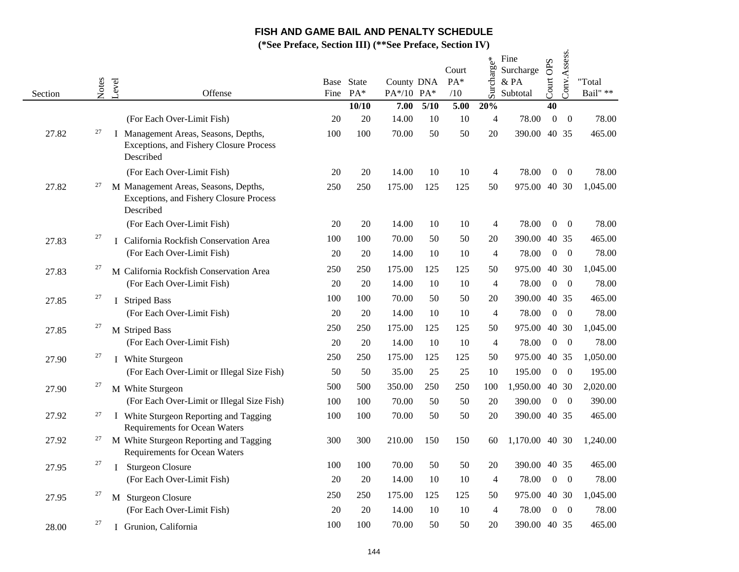|         |       |                                                                                              |         | $1$ cluely because $11/7$ |       | $\mathbf{v}$ is $\mathbf{v}$ |      |                       |                |                                       |                  |                  |                    |
|---------|-------|----------------------------------------------------------------------------------------------|---------|---------------------------|-------|------------------------------|------|-----------------------|----------------|---------------------------------------|------------------|------------------|--------------------|
| Section | Notes | Level                                                                                        | Offense | Base State<br>Fine        | $PA*$ | County DNA<br>PA*/10 PA*     |      | Court<br>$PA*$<br>/10 | Surcharge*     | Fine<br>Surcharge<br>& PA<br>Subtotal | OPS<br>$C$ ourt  | Conv.Assess.     | "Total<br>Bail" ** |
|         |       |                                                                                              |         |                           | 10/10 | 7.00                         | 5/10 | 5.00                  | 20%            |                                       | 40               |                  |                    |
|         |       | (For Each Over-Limit Fish)                                                                   |         | 20                        | 20    | 14.00                        | 10   | 10                    | 4              | 78.00                                 | $\boldsymbol{0}$ | $\boldsymbol{0}$ | 78.00              |
| 27.82   | 27    | I Management Areas, Seasons, Depths,<br>Exceptions, and Fishery Closure Process<br>Described |         | 100                       | 100   | 70.00                        | 50   | 50                    | 20             | 390.00 40 35                          |                  |                  | 465.00             |
|         |       | (For Each Over-Limit Fish)                                                                   |         | 20                        | 20    | 14.00                        | 10   | 10                    | 4              | 78.00                                 | $\overline{0}$   | $\overline{0}$   | 78.00              |
| 27.82   | 27    | M Management Areas, Seasons, Depths,<br>Exceptions, and Fishery Closure Process<br>Described |         | 250                       | 250   | 175.00                       | 125  | 125                   | 50             | 975.00 40 30                          |                  |                  | 1,045.00           |
|         |       | (For Each Over-Limit Fish)                                                                   |         | 20                        | 20    | 14.00                        | 10   | 10                    | 4              | 78.00                                 | $\overline{0}$   | $\overline{0}$   | 78.00              |
| 27.83   | 27    | I California Rockfish Conservation Area                                                      |         | 100                       | 100   | 70.00                        | 50   | 50                    | 20             | 390.00                                | 40 35            |                  | 465.00             |
|         |       | (For Each Over-Limit Fish)                                                                   |         | 20                        | 20    | 14.00                        | 10   | 10                    | 4              | 78.00                                 | $\boldsymbol{0}$ | $\overline{0}$   | 78.00              |
| 27.83   | 27    | M California Rockfish Conservation Area                                                      |         | 250                       | 250   | 175.00                       | 125  | 125                   | 50             | 975.00                                | 40 30            |                  | 1,045.00           |
|         |       | (For Each Over-Limit Fish)                                                                   |         | 20                        | 20    | 14.00                        | 10   | 10                    | 4              | 78.00                                 | $\overline{0}$   | $\overline{0}$   | 78.00              |
| 27.85   | 27    | I Striped Bass                                                                               |         | 100                       | 100   | 70.00                        | 50   | 50                    | 20             | 390.00                                | 40 35            |                  | 465.00             |
|         |       | (For Each Over-Limit Fish)                                                                   |         | 20                        | 20    | 14.00                        | 10   | 10                    | 4              | 78.00                                 | $\boldsymbol{0}$ | $\overline{0}$   | 78.00              |
| 27.85   | 27    | M Striped Bass                                                                               |         | 250                       | 250   | 175.00                       | 125  | 125                   | 50             | 975.00                                | 40 30            |                  | 1,045.00           |
|         |       | (For Each Over-Limit Fish)                                                                   |         | 20                        | 20    | 14.00                        | 10   | 10                    | $\overline{4}$ | 78.00                                 | $\overline{0}$   | $\overline{0}$   | 78.00              |
| 27.90   | 27    | I White Sturgeon                                                                             |         | 250                       | 250   | 175.00                       | 125  | 125                   | 50             | 975.00                                | 40 35            |                  | 1,050.00           |
|         |       | (For Each Over-Limit or Illegal Size Fish)                                                   |         | 50                        | 50    | 35.00                        | 25   | 25                    | 10             | 195.00                                | $\overline{0}$   | $\overline{0}$   | 195.00             |
| 27.90   | 27    | M White Sturgeon                                                                             |         | 500                       | 500   | 350.00                       | 250  | 250                   | 100            | 1,950.00 40 30                        |                  |                  | 2,020.00           |
|         |       | (For Each Over-Limit or Illegal Size Fish)                                                   |         | 100                       | 100   | 70.00                        | 50   | 50                    | 20             | 390.00                                | $\boldsymbol{0}$ | $\overline{0}$   | 390.00             |
| 27.92   | 27    | I White Sturgeon Reporting and Tagging<br>Requirements for Ocean Waters                      |         | 100                       | 100   | 70.00                        | 50   | 50                    | 20             | 390.00 40 35                          |                  |                  | 465.00             |
| 27.92   | 27    | M White Sturgeon Reporting and Tagging<br>Requirements for Ocean Waters                      |         | 300                       | 300   | 210.00                       | 150  | 150                   | 60             | 1,170.00 40 30                        |                  |                  | 1,240.00           |
| 27.95   | 27    | <b>Sturgeon Closure</b><br>I                                                                 |         | 100                       | 100   | 70.00                        | 50   | 50                    | 20             | 390.00 40 35                          |                  |                  | 465.00             |
|         |       | (For Each Over-Limit Fish)                                                                   |         | 20                        | 20    | 14.00                        | 10   | 10                    | 4              | 78.00                                 | $\boldsymbol{0}$ | $\overline{0}$   | 78.00              |
| 27.95   | 27    | M Sturgeon Closure                                                                           |         | 250                       | 250   | 175.00                       | 125  | 125                   | 50             | 975.00 40 30                          |                  |                  | 1,045.00           |
|         |       | (For Each Over-Limit Fish)                                                                   |         | 20                        | 20    | 14.00                        | 10   | 10                    | 4              | 78.00                                 | $\overline{0}$   | $\overline{0}$   | 78.00              |
| 28.00   | 27    | Grunion, California<br>L                                                                     |         | 100                       | 100   | 70.00                        | 50   | 50                    | 20             | 390.00 40 35                          |                  |                  | 465.00             |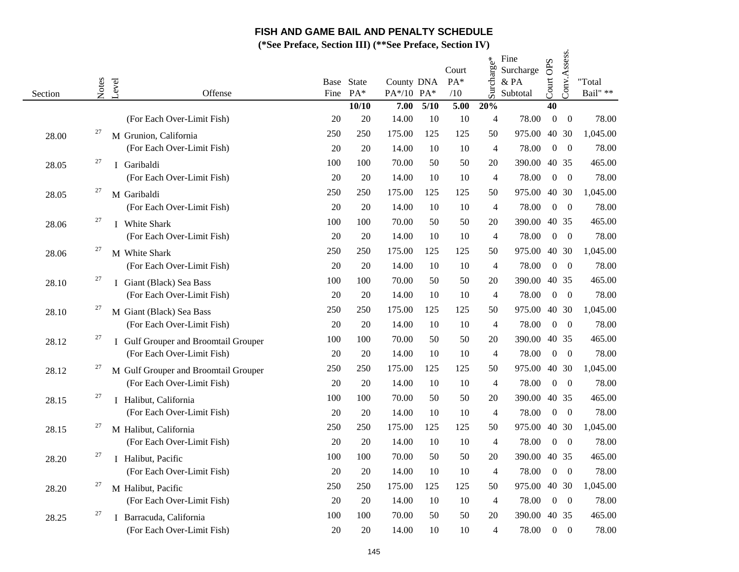|         |       |                                      | <b>1</b> FURCG, SCCHON <b>HI</b> |                     |                          |      | $\overline{O}$ Lettrace, $\overline{O}$ centrace $\overline{I}$ |                |                                       |                  |                  |                    |
|---------|-------|--------------------------------------|----------------------------------|---------------------|--------------------------|------|-----------------------------------------------------------------|----------------|---------------------------------------|------------------|------------------|--------------------|
| Section | Notes | Level<br>Offense                     | Fine                             | Base State<br>$PA*$ | County DNA<br>PA*/10 PA* |      | Court<br>$PA*$<br>/10                                           | Surcharge*     | Fine<br>Surcharge<br>& PA<br>Subtotal | Court OPS        | Conv.Assess.     | "Total<br>Bail" ** |
|         |       |                                      |                                  | 10/10               | 7.00                     | 5/10 | 5.00                                                            | 20%            |                                       | 40               |                  |                    |
|         |       | (For Each Over-Limit Fish)           | 20                               | 20                  | 14.00                    | 10   | 10                                                              | 4              | 78.00                                 | $\boldsymbol{0}$ | $\boldsymbol{0}$ | 78.00              |
| 28.00   | 27    | M Grunion, California                | 250                              | 250                 | 175.00                   | 125  | 125                                                             | 50             | 975.00                                |                  | 40 30            | 1,045.00           |
|         |       | (For Each Over-Limit Fish)           | 20                               | 20                  | 14.00                    | 10   | 10                                                              | $\overline{4}$ | 78.00                                 | $\overline{0}$   | $\overline{0}$   | 78.00              |
| 28.05   | 27    | I Garibaldi                          | 100                              | 100                 | 70.00                    | 50   | 50                                                              | 20             | 390.00                                |                  | 40 35            | 465.00             |
|         |       | (For Each Over-Limit Fish)           | 20                               | 20                  | 14.00                    | 10   | 10                                                              | 4              | 78.00                                 | $\overline{0}$   | $\overline{0}$   | 78.00              |
| 28.05   | 27    | M Garibaldi                          | 250                              | 250                 | 175.00                   | 125  | 125                                                             | 50             | 975.00 40 30                          |                  |                  | 1,045.00           |
|         |       | (For Each Over-Limit Fish)           | 20                               | 20                  | 14.00                    | 10   | 10                                                              | $\overline{4}$ | 78.00                                 | $\overline{0}$   | $\overline{0}$   | 78.00              |
| 28.06   | 27    | I White Shark                        | 100                              | 100                 | 70.00                    | 50   | 50                                                              | 20             | 390.00                                |                  | 40 35            | 465.00             |
|         |       | (For Each Over-Limit Fish)           | 20                               | 20                  | 14.00                    | 10   | 10                                                              | 4              | 78.00                                 | $\overline{0}$   | $\overline{0}$   | 78.00              |
| 28.06   | 27    | M White Shark                        | 250                              | 250                 | 175.00                   | 125  | 125                                                             | 50             | 975.00                                |                  | 40 30            | 1,045.00           |
|         |       | (For Each Over-Limit Fish)           | 20                               | 20                  | 14.00                    | 10   | 10                                                              | 4              | 78.00                                 | $\overline{0}$   | $\overline{0}$   | 78.00              |
| 28.10   | 27    | I Giant (Black) Sea Bass             | 100                              | 100                 | 70.00                    | 50   | 50                                                              | 20             | 390.00                                |                  | 40 35            | 465.00             |
|         |       | (For Each Over-Limit Fish)           | 20                               | 20                  | 14.00                    | 10   | 10                                                              | 4              | 78.00                                 | $\overline{0}$   | $\overline{0}$   | 78.00              |
| 28.10   | 27    | M Giant (Black) Sea Bass             | 250                              | 250                 | 175.00                   | 125  | 125                                                             | 50             | 975.00 40 30                          |                  |                  | 1,045.00           |
|         |       | (For Each Over-Limit Fish)           | 20                               | 20                  | 14.00                    | 10   | 10                                                              | 4              | 78.00                                 | $\overline{0}$   | $\overline{0}$   | 78.00              |
| 28.12   | 27    | I Gulf Grouper and Broomtail Grouper | 100                              | 100                 | 70.00                    | 50   | 50                                                              | 20             | 390.00                                |                  | 40 35            | 465.00             |
|         |       | (For Each Over-Limit Fish)           | 20                               | 20                  | 14.00                    | 10   | 10                                                              | 4              | 78.00                                 | $\overline{0}$   | $\overline{0}$   | 78.00              |
| 28.12   | 27    | M Gulf Grouper and Broomtail Grouper | 250                              | 250                 | 175.00                   | 125  | 125                                                             | 50             | 975.00                                | 40 30            |                  | 1,045.00           |
|         |       | (For Each Over-Limit Fish)           | 20                               | 20                  | 14.00                    | 10   | 10                                                              | 4              | 78.00                                 | $\overline{0}$   | $\overline{0}$   | 78.00              |
| 28.15   | 27    | I Halibut, California                | 100                              | 100                 | 70.00                    | 50   | 50                                                              | 20             | 390.00                                |                  | 40 35            | 465.00             |
|         |       | (For Each Over-Limit Fish)           | 20                               | 20                  | 14.00                    | 10   | 10                                                              | 4              | 78.00                                 | $\overline{0}$   | $\overline{0}$   | 78.00              |
| 28.15   | 27    | M Halibut, California                | 250                              | 250                 | 175.00                   | 125  | 125                                                             | 50             | 975.00                                | 40 30            |                  | 1,045.00           |
|         |       | (For Each Over-Limit Fish)           | 20                               | 20                  | 14.00                    | 10   | 10                                                              | $\overline{4}$ | 78.00                                 | $\overline{0}$   | $\overline{0}$   | 78.00              |
| 28.20   | 27    | I Halibut, Pacific                   | 100                              | 100                 | 70.00                    | 50   | 50                                                              | 20             | 390.00                                |                  | 40 35            | 465.00             |
|         |       | (For Each Over-Limit Fish)           | 20                               | 20                  | 14.00                    | 10   | 10                                                              | $\overline{4}$ | 78.00                                 | $\overline{0}$   | $\overline{0}$   | 78.00              |
| 28.20   | 27    | M Halibut, Pacific                   | 250                              | 250                 | 175.00                   | 125  | 125                                                             | 50             | 975.00                                |                  | 40 30            | 1,045.00           |
|         |       | (For Each Over-Limit Fish)           | 20                               | 20                  | 14.00                    | 10   | 10                                                              | 4              | 78.00                                 | $\overline{0}$   | $\overline{0}$   | 78.00              |
| 28.25   | 27    | Barracuda, California<br>L           | 100                              | 100                 | 70.00                    | 50   | 50                                                              | 20             | 390.00                                |                  | 40 35            | 465.00             |
|         |       | (For Each Over-Limit Fish)           | 20                               | 20                  | 14.00                    | 10   | 10                                                              | 4              | 78.00                                 | $\overline{0}$   | $\boldsymbol{0}$ | 78.00              |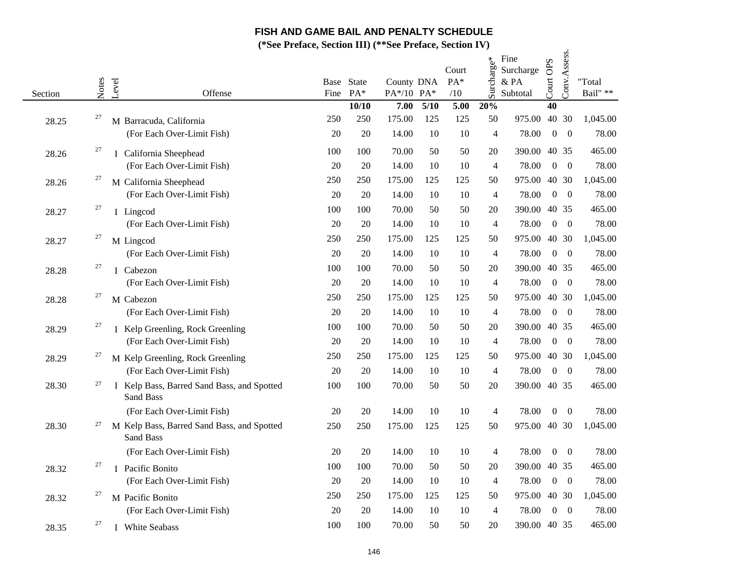|         |       |                                                                | $\alpha$ 1 ruale, secuvir 111/ |                |                          |      | $\overline{O}$ Lettrace, $O$ cchoil IV |                |                                       |                  |                |                    |
|---------|-------|----------------------------------------------------------------|--------------------------------|----------------|--------------------------|------|----------------------------------------|----------------|---------------------------------------|------------------|----------------|--------------------|
| Section | Notes | Level<br>Offense                                               | Base<br>Fine                   | State<br>$PA*$ | County DNA<br>PA*/10 PA* |      | Court<br>$PA*$<br>/10                  | Surcharge*     | Fine<br>Surcharge<br>& PA<br>Subtotal | Court OPS        | Conv.Assess.   | "Total<br>Bail" ** |
|         |       |                                                                |                                | 10/10          | 7.00                     | 5/10 | 5.00                                   | 20%            |                                       | 40               |                |                    |
| 28.25   | 27    | M Barracuda, California                                        | 250                            | 250            | 175.00                   | 125  | 125                                    | 50             | 975.00                                |                  | 40 30          | 1,045.00           |
|         |       | (For Each Over-Limit Fish)                                     | 20                             | 20             | 14.00                    | 10   | 10                                     | 4              | 78.00                                 | $\mathbf{0}$     | $\overline{0}$ | 78.00              |
| 28.26   | 27    | I California Sheephead                                         | 100                            | 100            | 70.00                    | 50   | 50                                     | 20             | 390.00                                |                  | 40 35          | 465.00             |
|         |       | (For Each Over-Limit Fish)                                     | 20                             | 20             | 14.00                    | 10   | 10                                     | $\overline{4}$ | 78.00                                 | $\mathbf{0}$     | $\overline{0}$ | 78.00              |
| 28.26   | 27    | M California Sheephead                                         | 250                            | 250            | 175.00                   | 125  | 125                                    | 50             | 975.00                                |                  | 40 30          | 1,045.00           |
|         |       | (For Each Over-Limit Fish)                                     | 20                             | 20             | 14.00                    | 10   | 10                                     | $\overline{4}$ | 78.00                                 | $\mathbf{0}$     | $\overline{0}$ | 78.00              |
| 28.27   | 27    | I Lingcod                                                      | 100                            | 100            | 70.00                    | 50   | 50                                     | 20             | 390.00                                |                  | 40 35          | 465.00             |
|         |       | (For Each Over-Limit Fish)                                     | 20                             | 20             | 14.00                    | 10   | 10                                     | $\overline{4}$ | 78.00                                 | $\mathbf{0}$     | $\Omega$       | 78.00              |
| 28.27   | 27    | M Lingcod                                                      | 250                            | 250            | 175.00                   | 125  | 125                                    | 50             | 975.00                                |                  | 40 30          | 1,045.00           |
|         |       | (For Each Over-Limit Fish)                                     | 20                             | 20             | 14.00                    | 10   | 10                                     | $\overline{4}$ | 78.00                                 | $\mathbf{0}$     | $\overline{0}$ | 78.00              |
| 28.28   | 27    | I Cabezon                                                      | 100                            | 100            | 70.00                    | 50   | 50                                     | 20             | 390.00                                |                  | 40 35          | 465.00             |
|         |       | (For Each Over-Limit Fish)                                     | 20                             | 20             | 14.00                    | 10   | 10                                     | $\overline{4}$ | 78.00                                 | $\mathbf{0}$     | $\overline{0}$ | 78.00              |
| 28.28   | 27    | M Cabezon                                                      | 250                            | 250            | 175.00                   | 125  | 125                                    | 50             | 975.00                                |                  | 40 30          | 1,045.00           |
|         |       | (For Each Over-Limit Fish)                                     | 20                             | 20             | 14.00                    | 10   | 10                                     | $\overline{4}$ | 78.00                                 | $\mathbf{0}$     | $\overline{0}$ | 78.00              |
| 28.29   | 27    | I Kelp Greenling, Rock Greenling                               | 100                            | 100            | 70.00                    | 50   | 50                                     | 20             | 390.00                                | 40 35            |                | 465.00             |
|         |       | (For Each Over-Limit Fish)                                     | 20                             | 20             | 14.00                    | 10   | 10                                     | $\overline{4}$ | 78.00                                 | $\overline{0}$   | $\overline{0}$ | 78.00              |
| 28.29   | 27    | M Kelp Greenling, Rock Greenling                               | 250                            | 250            | 175.00                   | 125  | 125                                    | 50             | 975.00                                |                  | 40 30          | 1,045.00           |
|         |       | (For Each Over-Limit Fish)                                     | 20                             | 20             | 14.00                    | 10   | 10                                     | $\overline{4}$ | 78.00                                 | $\mathbf{0}$     | $\overline{0}$ | 78.00              |
| 28.30   | 27    | I Kelp Bass, Barred Sand Bass, and Spotted<br><b>Sand Bass</b> | 100                            | 100            | 70.00                    | 50   | 50                                     | 20             | 390.00 40 35                          |                  |                | 465.00             |
|         |       | (For Each Over-Limit Fish)                                     | 20                             | 20             | 14.00                    | 10   | 10                                     | 4              | 78.00                                 | $\overline{0}$   | $\overline{0}$ | 78.00              |
| 28.30   | 27    | M Kelp Bass, Barred Sand Bass, and Spotted<br>Sand Bass        | 250                            | 250            | 175.00                   | 125  | 125                                    | 50             | 975.00 40 30                          |                  |                | 1,045.00           |
|         |       | (For Each Over-Limit Fish)                                     | 20                             | 20             | 14.00                    | 10   | 10                                     | $\overline{4}$ | 78.00                                 | $\boldsymbol{0}$ | $\mathbf{0}$   | 78.00              |
| 28.32   | 27    | I Pacific Bonito                                               | 100                            | 100            | 70.00                    | 50   | 50                                     | 20             | 390.00                                |                  | 40 35          | 465.00             |
|         |       | (For Each Over-Limit Fish)                                     | 20                             | 20             | 14.00                    | 10   | 10                                     | $\overline{4}$ | 78.00                                 | $\mathbf{0}$     | $\overline{0}$ | 78.00              |
| 28.32   | 27    | M Pacific Bonito                                               | 250                            | 250            | 175.00                   | 125  | 125                                    | 50             | 975.00                                |                  | 40 30          | 1,045.00           |
|         |       | (For Each Over-Limit Fish)                                     | 20                             | 20             | 14.00                    | 10   | 10                                     | 4              | 78.00                                 | $\overline{0}$   | $\overline{0}$ | 78.00              |
| 28.35   | 27    | I White Seabass                                                | 100                            | 100            | 70.00                    | 50   | 50                                     | 20             | 390.00 40 35                          |                  |                | 465.00             |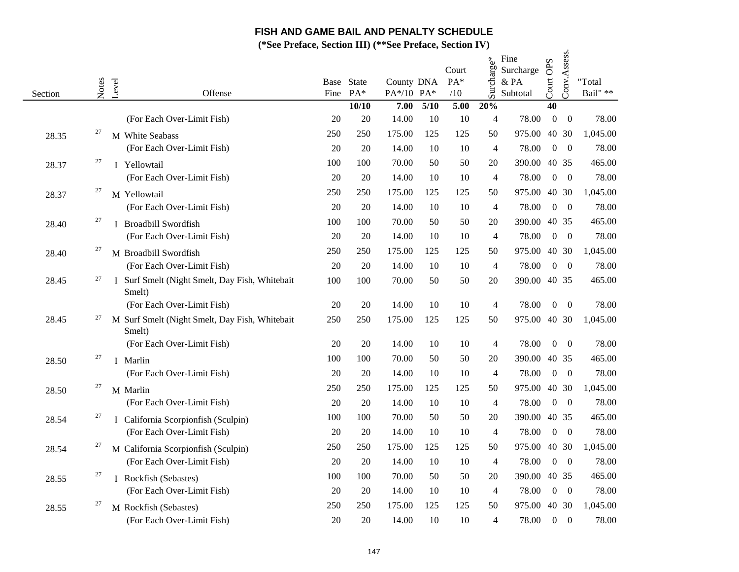|         |       |                                                          | $\alpha$ i relate, because $\mathbf{m}_f$ |                     |                          |      | $\overline{D}U$ I Fugue, $DULUIII$ I $\overline{V}$ |                |                                       |                  |                  |                            |
|---------|-------|----------------------------------------------------------|-------------------------------------------|---------------------|--------------------------|------|-----------------------------------------------------|----------------|---------------------------------------|------------------|------------------|----------------------------|
| Section | Notes | Level<br>Offense                                         | Fine                                      | Base State<br>$PA*$ | County DNA<br>PA*/10 PA* |      | Court<br>PA*<br>/10                                 | Surcharge*     | Fine<br>Surcharge<br>& PA<br>Subtotal | Court OPS        | Conv.Assess.     | "Total<br>Bail" $\ast\ast$ |
|         |       |                                                          |                                           | 10/10               | 7.00                     | 5/10 | 5.00                                                | 20%            |                                       | 40               |                  |                            |
|         |       | (For Each Over-Limit Fish)                               | 20                                        | 20                  | 14.00                    | 10   | 10                                                  | $\overline{4}$ | 78.00                                 | $\boldsymbol{0}$ | $\boldsymbol{0}$ | 78.00                      |
| 28.35   | 27    | M White Seabass                                          | 250                                       | 250                 | 175.00                   | 125  | 125                                                 | 50             | 975.00                                | 40               | 30               | 1,045.00                   |
|         |       | (For Each Over-Limit Fish)                               | 20                                        | 20                  | 14.00                    | 10   | 10                                                  | $\overline{4}$ | 78.00                                 | $\mathbf{0}$     | $\theta$         | 78.00                      |
| 28.37   | 27    | I Yellowtail                                             | 100                                       | 100                 | 70.00                    | 50   | 50                                                  | 20             | 390.00                                |                  | 40 35            | 465.00                     |
|         |       | (For Each Over-Limit Fish)                               | 20                                        | 20                  | 14.00                    | 10   | 10                                                  | $\overline{4}$ | 78.00                                 | $\boldsymbol{0}$ | $\overline{0}$   | 78.00                      |
| 28.37   | 27    | M Yellowtail                                             | 250                                       | 250                 | 175.00                   | 125  | 125                                                 | 50             | 975.00                                |                  | 40 30            | 1,045.00                   |
|         |       | (For Each Over-Limit Fish)                               | 20                                        | 20                  | 14.00                    | 10   | 10                                                  | $\overline{4}$ | 78.00                                 | $\Omega$         | $\boldsymbol{0}$ | 78.00                      |
| 28.40   | 27    | I Broadbill Swordfish                                    | 100                                       | 100                 | 70.00                    | 50   | 50                                                  | 20             | 390.00                                |                  | 40 35            | 465.00                     |
|         |       | (For Each Over-Limit Fish)                               | 20                                        | 20                  | 14.00                    | 10   | 10                                                  | $\overline{4}$ | 78.00                                 | $\overline{0}$   | $\theta$         | 78.00                      |
| 28.40   | 27    | M Broadbill Swordfish                                    | 250                                       | 250                 | 175.00                   | 125  | 125                                                 | 50             | 975.00                                |                  | 40 30            | 1,045.00                   |
|         |       | (For Each Over-Limit Fish)                               | 20                                        | 20                  | 14.00                    | 10   | 10                                                  | $\overline{4}$ | 78.00                                 | $\boldsymbol{0}$ | $\overline{0}$   | 78.00                      |
| 28.45   | 27    | I Surf Smelt (Night Smelt, Day Fish, Whitebait<br>Smelt) | 100                                       | 100                 | 70.00                    | 50   | 50                                                  | 20             | 390.00                                |                  | 40 35            | 465.00                     |
|         |       | (For Each Over-Limit Fish)                               | 20                                        | 20                  | 14.00                    | 10   | 10                                                  | $\overline{4}$ | 78.00                                 | $\mathbf{0}$     | $\boldsymbol{0}$ | 78.00                      |
| 28.45   | 27    | M Surf Smelt (Night Smelt, Day Fish, Whitebait<br>Smelt) | 250                                       | 250                 | 175.00                   | 125  | 125                                                 | 50             | 975.00                                | 40 30            |                  | 1,045.00                   |
|         |       | (For Each Over-Limit Fish)                               | 20                                        | 20                  | 14.00                    | 10   | 10                                                  | $\overline{4}$ | 78.00                                 | $\overline{0}$   | $\overline{0}$   | 78.00                      |
| 28.50   | 27    | I Marlin                                                 | 100                                       | 100                 | 70.00                    | 50   | 50                                                  | 20             | 390.00                                |                  | 40 35            | 465.00                     |
|         |       | (For Each Over-Limit Fish)                               | 20                                        | 20                  | 14.00                    | 10   | 10                                                  | 4              | 78.00                                 | $\boldsymbol{0}$ | $\overline{0}$   | 78.00                      |
| 28.50   | 27    | M Marlin                                                 | 250                                       | 250                 | 175.00                   | 125  | 125                                                 | 50             | 975.00                                |                  | 40 30            | 1,045.00                   |
|         |       | (For Each Over-Limit Fish)                               | 20                                        | 20                  | 14.00                    | 10   | 10                                                  | $\overline{4}$ | 78.00                                 | $\Omega$         | $\theta$         | 78.00                      |
| 28.54   | 27    | I California Scorpionfish (Sculpin)                      | 100                                       | 100                 | 70.00                    | 50   | 50                                                  | 20             | 390.00                                |                  | 40 35            | 465.00                     |
|         |       | (For Each Over-Limit Fish)                               | 20                                        | 20                  | 14.00                    | 10   | 10                                                  | $\overline{4}$ | 78.00                                 | $\boldsymbol{0}$ | $\overline{0}$   | 78.00                      |
| 28.54   | 27    | M California Scorpionfish (Sculpin)                      | 250                                       | 250                 | 175.00                   | 125  | 125                                                 | 50             | 975.00                                |                  | 40 30            | 1,045.00                   |
|         |       | (For Each Over-Limit Fish)                               | 20                                        | 20                  | 14.00                    | 10   | 10                                                  | $\overline{4}$ | 78.00                                 | $\mathbf{0}$     | $\overline{0}$   | 78.00                      |
| 28.55   | 27    | I Rockfish (Sebastes)                                    | 100                                       | 100                 | 70.00                    | 50   | 50                                                  | 20             | 390.00                                |                  | 40 35            | 465.00                     |
|         |       | (For Each Over-Limit Fish)                               | 20                                        | 20                  | 14.00                    | 10   | 10                                                  | $\overline{4}$ | 78.00                                 | $\overline{0}$   | $\overline{0}$   | 78.00                      |
| 28.55   | 27    | M Rockfish (Sebastes)                                    | 250                                       | 250                 | 175.00                   | 125  | 125                                                 | 50             | 975.00                                |                  | 40 30            | 1,045.00                   |
|         |       | (For Each Over-Limit Fish)                               | 20                                        | 20                  | 14.00                    | 10   | 10                                                  | $\overline{4}$ | 78.00                                 | $\overline{0}$   | $\overline{0}$   | 78.00                      |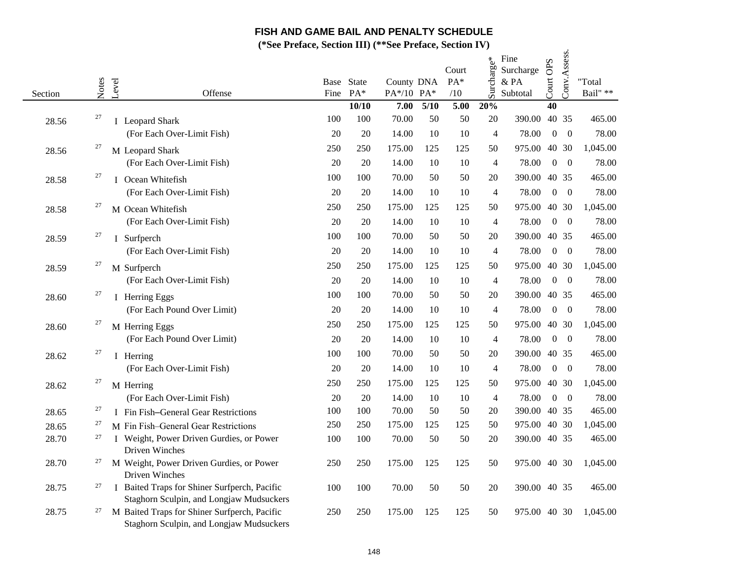|         |       |                                                                                          |      |            |            |      | Court | Surcharge*     | Fine<br>Surcharge | OPS              | Conv.Assess.   |          |
|---------|-------|------------------------------------------------------------------------------------------|------|------------|------------|------|-------|----------------|-------------------|------------------|----------------|----------|
|         |       |                                                                                          |      | Base State | County DNA |      | PA*   |                | & PA              |                  |                | "Total   |
| Section | Notes | Level<br>Offense                                                                         | Fine | $PA*$      | PA*/10 PA* |      | /10   |                | Subtotal          | Court            |                | Bail" ** |
|         |       |                                                                                          |      | 10/10      | 7.00       | 5/10 | 5.00  | 20%            |                   | 40               |                |          |
| 28.56   | 27    | I Leopard Shark                                                                          | 100  | 100        | 70.00      | 50   | 50    | 20             | 390.00            | 40 35            |                | 465.00   |
|         |       | (For Each Over-Limit Fish)                                                               | 20   | 20         | 14.00      | 10   | 10    | 4              | 78.00             | $\overline{0}$   | $\overline{0}$ | 78.00    |
| 28.56   | 27    | M Leopard Shark                                                                          | 250  | 250        | 175.00     | 125  | 125   | 50             | 975.00            | 40 30            |                | 1,045.00 |
|         |       | (For Each Over-Limit Fish)                                                               | 20   | 20         | 14.00      | 10   | 10    | 4              | 78.00             | $\Omega$         | $\overline{0}$ | 78.00    |
| 28.58   | 27    | I Ocean Whitefish                                                                        | 100  | 100        | 70.00      | 50   | 50    | 20             | 390.00 40 35      |                  |                | 465.00   |
|         |       | (For Each Over-Limit Fish)                                                               | 20   | 20         | 14.00      | 10   | 10    | $\overline{4}$ | 78.00             | $\overline{0}$   | $\overline{0}$ | 78.00    |
| 28.58   | 27    | M Ocean Whitefish                                                                        | 250  | 250        | 175.00     | 125  | 125   | 50             | 975.00 40 30      |                  |                | 1,045.00 |
|         |       | (For Each Over-Limit Fish)                                                               | 20   | 20         | 14.00      | 10   | 10    | $\overline{4}$ | 78.00             | $\overline{0}$   | $\overline{0}$ | 78.00    |
| 28.59   | 27    | I Surfperch                                                                              | 100  | 100        | 70.00      | 50   | 50    | 20             | 390.00 40 35      |                  |                | 465.00   |
|         |       | (For Each Over-Limit Fish)                                                               | 20   | 20         | 14.00      | 10   | 10    | $\overline{4}$ | 78.00             | $\overline{0}$   | $\overline{0}$ | 78.00    |
| 28.59   | 27    | M Surfperch                                                                              | 250  | 250        | 175.00     | 125  | 125   | 50             | 975.00            | 40 30            |                | 1,045.00 |
|         |       | (For Each Over-Limit Fish)                                                               | 20   | 20         | 14.00      | 10   | 10    | $\overline{4}$ | 78.00             | $\overline{0}$   | $\overline{0}$ | 78.00    |
| 28.60   | 27    | I Herring Eggs                                                                           | 100  | 100        | 70.00      | 50   | 50    | 20             | 390.00 40 35      |                  |                | 465.00   |
|         |       | (For Each Pound Over Limit)                                                              | 20   | 20         | 14.00      | 10   | 10    | 4              | 78.00             | $\boldsymbol{0}$ | $\overline{0}$ | 78.00    |
| 28.60   | 27    | M Herring Eggs                                                                           | 250  | 250        | 175.00     | 125  | 125   | 50             | 975.00            |                  | 40 30          | 1,045.00 |
|         |       | (For Each Pound Over Limit)                                                              | 20   | 20         | 14.00      | 10   | 10    | 4              | 78.00             | $\boldsymbol{0}$ | $\overline{0}$ | 78.00    |
| 28.62   | 27    | I Herring                                                                                | 100  | 100        | 70.00      | 50   | 50    | 20             | 390.00            | 40 35            |                | 465.00   |
|         |       | (For Each Over-Limit Fish)                                                               | 20   | 20         | 14.00      | 10   | 10    | 4              | 78.00             | $\overline{0}$   | $\overline{0}$ | 78.00    |
| 28.62   | 27    | M Herring                                                                                | 250  | 250        | 175.00     | 125  | 125   | 50             | 975.00            | 40 30            |                | 1,045.00 |
|         |       | (For Each Over-Limit Fish)                                                               | 20   | 20         | 14.00      | 10   | 10    | $\overline{4}$ | 78.00             | $\overline{0}$   | $\overline{0}$ | 78.00    |
| 28.65   | 27    | I Fin Fish-General Gear Restrictions                                                     | 100  | 100        | 70.00      | 50   | 50    | 20             | 390.00 40 35      |                  |                | 465.00   |
| 28.65   | 27    | M Fin Fish-General Gear Restrictions                                                     | 250  | 250        | 175.00     | 125  | 125   | 50             | 975.00 40 30      |                  |                | 1,045.00 |
| 28.70   | 27    | I Weight, Power Driven Gurdies, or Power<br>Driven Winches                               | 100  | 100        | 70.00      | 50   | 50    | 20             | 390.00 40 35      |                  |                | 465.00   |
| 28.70   | 27    | M Weight, Power Driven Gurdies, or Power<br>Driven Winches                               | 250  | 250        | 175.00     | 125  | 125   | 50             | 975.00 40 30      |                  |                | 1,045.00 |
| 28.75   | 27    | I Baited Traps for Shiner Surfperch, Pacific<br>Staghorn Sculpin, and Longjaw Mudsuckers | 100  | 100        | 70.00      | 50   | 50    | 20             | 390.00 40 35      |                  |                | 465.00   |
| 28.75   | 27    | M Baited Traps for Shiner Surfperch, Pacific<br>Staghorn Sculpin, and Longjaw Mudsuckers | 250  | 250        | 175.00     | 125  | 125   | 50             | 975.00 40 30      |                  |                | 1,045.00 |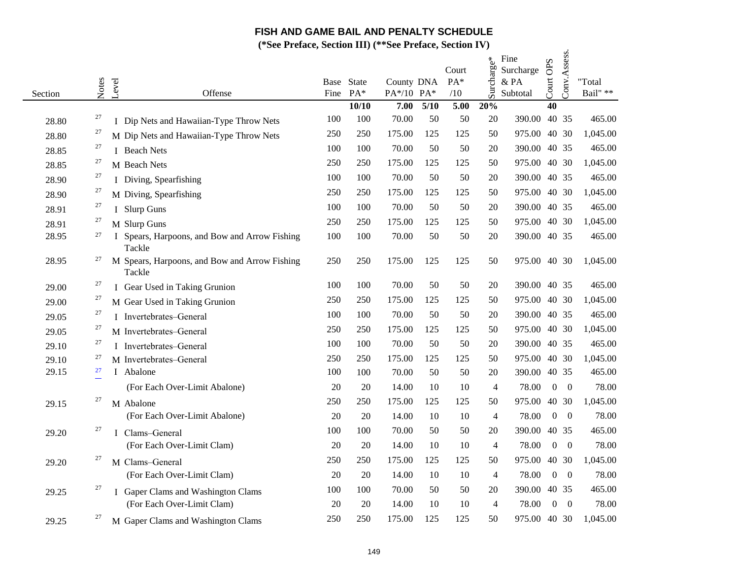|         |       |       |                                                         |      | $11$ clace, because $III/$ |                          |        | $\overline{O}$ Lettrace, $O$ cchoil IV |                |                                      |                  |                |                            |
|---------|-------|-------|---------------------------------------------------------|------|----------------------------|--------------------------|--------|----------------------------------------|----------------|--------------------------------------|------------------|----------------|----------------------------|
| Section | Notes | Level | Offense                                                 | Fine | Base State<br>$PA*$        | County DNA<br>PA*/10 PA* |        | Court<br>PA*<br>/10                    | Surcharge*     | Fine<br>Surcharge<br>&PA<br>Subtotal | Court OPS        | Conv.Assess.   | "Total<br>Bail" $\ast\ast$ |
|         |       |       |                                                         |      | 10/10                      | 7.00                     | $5/10$ | 5.00                                   | 20%            |                                      | 40               |                |                            |
| 28.80   | 27    |       | I Dip Nets and Hawaiian-Type Throw Nets                 | 100  | 100                        | 70.00                    | 50     | 50                                     | 20             | 390.00                               |                  | 40 35          | 465.00                     |
| 28.80   | 27    |       | M Dip Nets and Hawaiian-Type Throw Nets                 | 250  | 250                        | 175.00                   | 125    | 125                                    | 50             | 975.00                               |                  | 40 30          | 1,045.00                   |
| 28.85   | 27    |       | I Beach Nets                                            | 100  | 100                        | 70.00                    | 50     | 50                                     | 20             | 390.00                               |                  | 40 35          | 465.00                     |
| 28.85   | 27    |       | M Beach Nets                                            | 250  | 250                        | 175.00                   | 125    | 125                                    | 50             | 975.00 40 30                         |                  |                | 1,045.00                   |
| 28.90   | 27    |       | I Diving, Spearfishing                                  | 100  | 100                        | 70.00                    | 50     | 50                                     | 20             | 390.00 40 35                         |                  |                | 465.00                     |
| 28.90   | 27    |       | M Diving, Spearfishing                                  | 250  | 250                        | 175.00                   | 125    | 125                                    | 50             | 975.00                               |                  | 40 30          | 1,045.00                   |
| 28.91   | 27    |       | I Slurp Guns                                            | 100  | 100                        | 70.00                    | 50     | 50                                     | 20             | 390.00                               |                  | 40 35          | 465.00                     |
| 28.91   | 27    |       | M Slurp Guns                                            | 250  | 250                        | 175.00                   | 125    | 125                                    | 50             | 975.00 40 30                         |                  |                | 1,045.00                   |
| 28.95   | 27    |       | I Spears, Harpoons, and Bow and Arrow Fishing<br>Tackle | 100  | 100                        | 70.00                    | 50     | 50                                     | 20             | 390.00 40 35                         |                  |                | 465.00                     |
| 28.95   | 27    |       | M Spears, Harpoons, and Bow and Arrow Fishing<br>Tackle | 250  | 250                        | 175.00                   | 125    | 125                                    | 50             | 975.00 40 30                         |                  |                | 1,045.00                   |
| 29.00   | 27    |       | I Gear Used in Taking Grunion                           | 100  | 100                        | 70.00                    | 50     | 50                                     | 20             | 390.00 40 35                         |                  |                | 465.00                     |
| 29.00   | 27    |       | M Gear Used in Taking Grunion                           | 250  | 250                        | 175.00                   | 125    | 125                                    | 50             | 975.00                               |                  | 40 30          | 1,045.00                   |
| 29.05   | 27    |       | I Invertebrates-General                                 | 100  | 100                        | 70.00                    | 50     | 50                                     | 20             | 390.00                               |                  | 40 35          | 465.00                     |
| 29.05   | 27    |       | M Invertebrates-General                                 | 250  | 250                        | 175.00                   | 125    | 125                                    | 50             | 975.00                               |                  | 40 30          | 1,045.00                   |
| 29.10   | 27    |       | I Invertebrates-General                                 | 100  | 100                        | 70.00                    | 50     | 50                                     | 20             | 390.00 40 35                         |                  |                | 465.00                     |
| 29.10   | 27    |       | M Invertebrates-General                                 | 250  | 250                        | 175.00                   | 125    | 125                                    | 50             | 975.00                               |                  | 40 30          | 1,045.00                   |
| 29.15   | 27    |       | I Abalone                                               | 100  | 100                        | 70.00                    | 50     | 50                                     | 20             | 390.00                               |                  | 40 35          | 465.00                     |
|         |       |       | (For Each Over-Limit Abalone)                           | 20   | 20                         | 14.00                    | 10     | 10                                     | $\overline{4}$ | 78.00                                | $\overline{0}$   | $\overline{0}$ | 78.00                      |
| 29.15   | 27    |       | M Abalone                                               | 250  | 250                        | 175.00                   | 125    | 125                                    | 50             | 975.00                               |                  | 40 30          | 1,045.00                   |
|         |       |       | (For Each Over-Limit Abalone)                           | 20   | 20                         | 14.00                    | 10     | 10                                     | $\overline{4}$ | 78.00                                | $\overline{0}$   | $\overline{0}$ | 78.00                      |
| 29.20   | 27    |       | I Clams-General                                         | 100  | 100                        | 70.00                    | 50     | 50                                     | 20             | 390.00                               |                  | 40 35          | 465.00                     |
|         |       |       | (For Each Over-Limit Clam)                              | 20   | 20                         | 14.00                    | 10     | 10                                     | $\overline{4}$ | 78.00                                | $\overline{0}$   | $\overline{0}$ | 78.00                      |
| 29.20   | 27    |       | M Clams-General                                         | 250  | 250                        | 175.00                   | 125    | 125                                    | 50             | 975.00                               |                  | 40 30          | 1,045.00                   |
|         |       |       | (For Each Over-Limit Clam)                              | 20   | 20                         | 14.00                    | 10     | 10                                     | $\overline{4}$ | 78.00                                | $\overline{0}$   | $\overline{0}$ | 78.00                      |
| 29.25   | 27    |       | I Gaper Clams and Washington Clams                      | 100  | 100                        | 70.00                    | 50     | 50                                     | 20             | 390.00                               |                  | 40 35          | 465.00                     |
|         |       |       | (For Each Over-Limit Clam)                              | 20   | 20                         | 14.00                    | 10     | 10                                     | $\overline{4}$ | 78.00                                | $\boldsymbol{0}$ | $\overline{0}$ | 78.00                      |
| 29.25   | 27    |       | M Gaper Clams and Washington Clams                      | 250  | 250                        | 175.00                   | 125    | 125                                    | 50             | 975.00 40 30                         |                  |                | 1,045.00                   |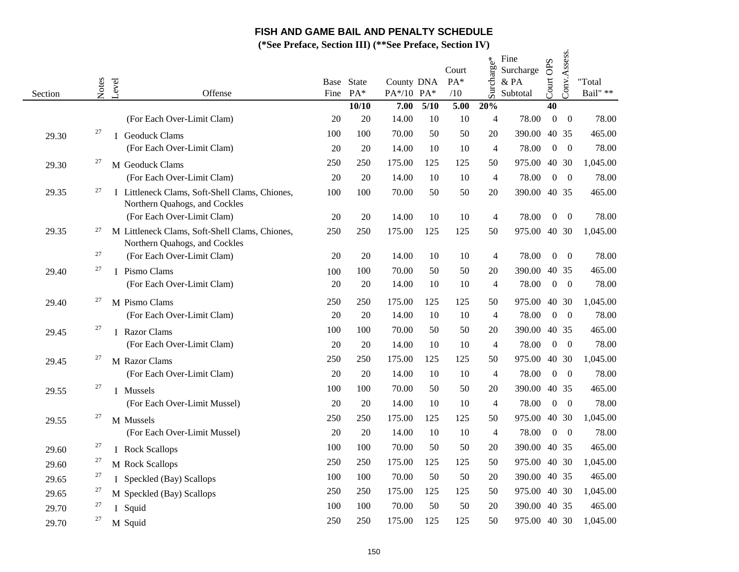|         |        |                                                                                 | $\alpha$ i relate, because $\mathbf{m}_f$ |                     |                          |      | $\overline{D}U$ I Heracly declibit IV |                |                                       |                  |                  |                            |
|---------|--------|---------------------------------------------------------------------------------|-------------------------------------------|---------------------|--------------------------|------|---------------------------------------|----------------|---------------------------------------|------------------|------------------|----------------------------|
| Section | Notes  | Level<br>Offense                                                                | Fine                                      | Base State<br>$PA*$ | County DNA<br>PA*/10 PA* |      | Court<br>PA*<br>/10                   | Surcharge*     | Fine<br>Surcharge<br>& PA<br>Subtotal | Court OPS        | Conv.Assess.     | "Total<br>Bail" $\ast\ast$ |
|         |        |                                                                                 |                                           | 10/10               | 7.00                     | 5/10 | 5.00                                  | 20%            |                                       | 40               |                  |                            |
|         |        | (For Each Over-Limit Clam)                                                      | 20                                        | 20                  | 14.00                    | 10   | 10                                    | $\overline{4}$ | 78.00                                 | $\boldsymbol{0}$ | $\overline{0}$   | 78.00                      |
| 29.30   | $27\,$ | I Geoduck Clams                                                                 | 100                                       | 100                 | 70.00                    | 50   | 50                                    | 20             | 390.00                                |                  | 40 35            | 465.00                     |
|         |        | (For Each Over-Limit Clam)                                                      | 20                                        | 20                  | 14.00                    | 10   | 10                                    | $\overline{4}$ | 78.00                                 | $\overline{0}$   | $\overline{0}$   | 78.00                      |
| 29.30   | 27     | M Geoduck Clams                                                                 | 250                                       | 250                 | 175.00                   | 125  | 125                                   | 50             | 975.00                                | 40 30            |                  | 1,045.00                   |
|         |        | (For Each Over-Limit Clam)                                                      | 20                                        | 20                  | 14.00                    | 10   | 10                                    | $\overline{4}$ | 78.00                                 | $\Omega$         | $\overline{0}$   | 78.00                      |
| 29.35   | 27     | I Littleneck Clams, Soft-Shell Clams, Chiones,<br>Northern Quahogs, and Cockles | 100                                       | 100                 | 70.00                    | 50   | 50                                    | 20             | 390.00 40 35                          |                  |                  | 465.00                     |
|         |        | (For Each Over-Limit Clam)                                                      | 20                                        | 20                  | 14.00                    | 10   | 10                                    | $\overline{4}$ | 78.00                                 | $\overline{0}$   | $\boldsymbol{0}$ | 78.00                      |
| 29.35   | 27     | M Littleneck Clams, Soft-Shell Clams, Chiones,<br>Northern Quahogs, and Cockles | 250                                       | 250                 | 175.00                   | 125  | 125                                   | 50             | 975.00                                | 40 30            |                  | 1,045.00                   |
|         | 27     | (For Each Over-Limit Clam)                                                      | 20                                        | 20                  | 14.00                    | 10   | 10                                    | $\overline{4}$ | 78.00                                 | $\mathbf{0}$     | $\overline{0}$   | 78.00                      |
| 29.40   | 27     | I Pismo Clams                                                                   | 100                                       | 100                 | 70.00                    | 50   | 50                                    | 20             | 390.00                                |                  | 40 35            | 465.00                     |
|         |        | (For Each Over-Limit Clam)                                                      | 20                                        | 20                  | 14.00                    | 10   | 10                                    | $\overline{4}$ | 78.00                                 | $\overline{0}$   | $\overline{0}$   | 78.00                      |
| 29.40   | 27     | M Pismo Clams                                                                   | 250                                       | 250                 | 175.00                   | 125  | 125                                   | 50             | 975.00                                | 40 30            |                  | 1,045.00                   |
|         |        | (For Each Over-Limit Clam)                                                      | 20                                        | 20                  | 14.00                    | 10   | 10                                    | $\overline{4}$ | 78.00                                 | $\Omega$         | $\theta$         | 78.00                      |
| 29.45   | 27     | I Razor Clams                                                                   | 100                                       | 100                 | 70.00                    | 50   | 50                                    | 20             | 390.00                                | 40 35            |                  | 465.00                     |
|         |        | (For Each Over-Limit Clam)                                                      | 20                                        | 20                  | 14.00                    | 10   | 10                                    | $\overline{4}$ | 78.00                                 | $\overline{0}$   | $\overline{0}$   | 78.00                      |
| 29.45   | 27     | M Razor Clams                                                                   | 250                                       | 250                 | 175.00                   | 125  | 125                                   | 50             | 975.00                                | 40 30            |                  | 1,045.00                   |
|         |        | (For Each Over-Limit Clam)                                                      | 20                                        | 20                  | 14.00                    | 10   | 10                                    | $\overline{4}$ | 78.00                                 | $\overline{0}$   | $\overline{0}$   | 78.00                      |
| 29.55   | 27     | <b>I</b> Mussels                                                                | 100                                       | 100                 | 70.00                    | 50   | 50                                    | 20             | 390.00                                |                  | 40 35            | 465.00                     |
|         |        | (For Each Over-Limit Mussel)                                                    | 20                                        | 20                  | 14.00                    | 10   | 10                                    | $\overline{4}$ | 78.00                                 | $\boldsymbol{0}$ | $\overline{0}$   | 78.00                      |
| 29.55   | 27     | M Mussels                                                                       | 250                                       | 250                 | 175.00                   | 125  | 125                                   | 50             | 975.00                                | 40 30            |                  | 1,045.00                   |
|         |        | (For Each Over-Limit Mussel)                                                    | 20                                        | 20                  | 14.00                    | 10   | 10                                    | $\overline{4}$ | 78.00                                 | $\overline{0}$   | $\theta$         | 78.00                      |
| 29.60   | 27     | I Rock Scallops                                                                 | 100                                       | 100                 | 70.00                    | 50   | 50                                    | 20             | 390.00                                | 40 35            |                  | 465.00                     |
| 29.60   | $27\,$ | M Rock Scallops                                                                 | 250                                       | 250                 | 175.00                   | 125  | 125                                   | 50             | 975.00                                |                  | 40 30            | 1,045.00                   |
| 29.65   | 27     | I Speckled (Bay) Scallops                                                       | 100                                       | 100                 | 70.00                    | 50   | 50                                    | 20             | 390.00                                | 40 35            |                  | 465.00                     |
| 29.65   | 27     | M Speckled (Bay) Scallops                                                       | 250                                       | 250                 | 175.00                   | 125  | 125                                   | 50             | 975.00 40 30                          |                  |                  | 1,045.00                   |
| 29.70   | 27     | I Squid                                                                         | 100                                       | 100                 | 70.00                    | 50   | 50                                    | 20             | 390.00 40 35                          |                  |                  | 465.00                     |
| 29.70   | 27     | M Squid                                                                         | 250                                       | 250                 | 175.00                   | 125  | 125                                   | 50             | 975.00 40 30                          |                  |                  | 1,045.00                   |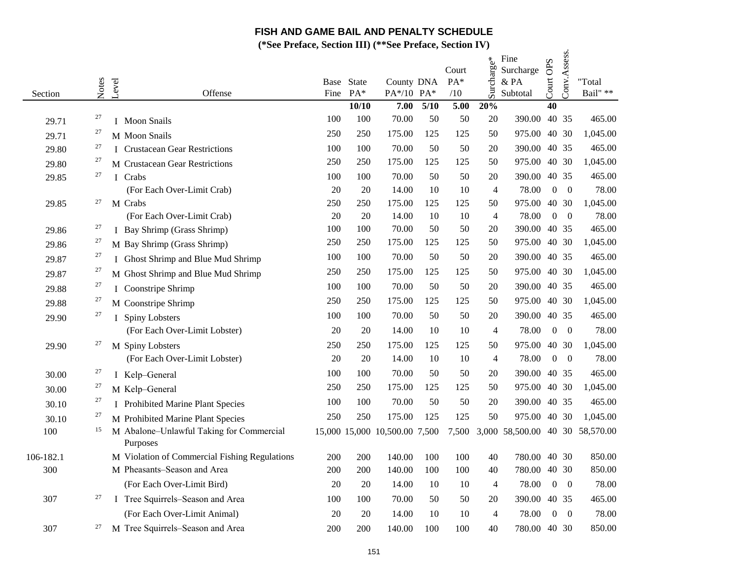|           |        |       |                                               | $\mathbf{c}$ i i clace, bection in $\mathbf{c}$ |                     |                               |        | $\overline{O}$ Lettrace, $\overline{O}$ centrace $\overline{I}$ |                |                                       |                  |                |                            |
|-----------|--------|-------|-----------------------------------------------|-------------------------------------------------|---------------------|-------------------------------|--------|-----------------------------------------------------------------|----------------|---------------------------------------|------------------|----------------|----------------------------|
| Section   | Notes  | Level | Offense                                       | Fine                                            | Base State<br>$PA*$ | County DNA<br>PA*/10 PA*      |        | Court<br>PA*<br>/10                                             | Surcharge*     | Fine<br>Surcharge<br>& PA<br>Subtotal | Court OPS        | Conv.Assess.   | "Total<br>Bail" $\ast\ast$ |
|           |        |       |                                               |                                                 | 10/10               | 7.00                          | $5/10$ | 5.00                                                            | 20%            |                                       | 40               |                |                            |
| 29.71     | 27     |       | I Moon Snails                                 | 100                                             | 100                 | 70.00                         | 50     | 50                                                              | 20             | 390.00                                | 40 35            |                | 465.00                     |
| 29.71     | 27     |       | M Moon Snails                                 | 250                                             | 250                 | 175.00                        | 125    | 125                                                             | 50             | 975.00                                | 40 30            |                | 1,045.00                   |
| 29.80     | 27     |       | I Crustacean Gear Restrictions                | 100                                             | 100                 | 70.00                         | 50     | 50                                                              | 20             | 390.00                                |                  | 40 35          | 465.00                     |
| 29.80     | 27     |       | M Crustacean Gear Restrictions                | 250                                             | 250                 | 175.00                        | 125    | 125                                                             | 50             | 975.00                                |                  | 40 30          | 1,045.00                   |
| 29.85     | 27     |       | I Crabs                                       | 100                                             | 100                 | 70.00                         | 50     | 50                                                              | 20             | 390.00                                |                  | 40 35          | 465.00                     |
|           |        |       | (For Each Over-Limit Crab)                    | 20                                              | 20                  | 14.00                         | 10     | 10                                                              | $\overline{4}$ | 78.00                                 | $\boldsymbol{0}$ | $\overline{0}$ | 78.00                      |
| 29.85     | 27     |       | M Crabs                                       | 250                                             | 250                 | 175.00                        | 125    | 125                                                             | 50             | 975.00                                |                  | 40 30          | 1,045.00                   |
|           |        |       | (For Each Over-Limit Crab)                    | 20                                              | 20                  | 14.00                         | 10     | 10                                                              | $\overline{4}$ | 78.00                                 | $\boldsymbol{0}$ | $\overline{0}$ | 78.00                      |
| 29.86     | 27     |       | I Bay Shrimp (Grass Shrimp)                   | 100                                             | 100                 | 70.00                         | 50     | 50                                                              | 20             | 390.00                                |                  | 40 35          | 465.00                     |
| 29.86     | 27     |       | M Bay Shrimp (Grass Shrimp)                   | 250                                             | 250                 | 175.00                        | 125    | 125                                                             | 50             | 975.00                                | 40 30            |                | 1,045.00                   |
| 29.87     | 27     |       | I Ghost Shrimp and Blue Mud Shrimp            | 100                                             | 100                 | 70.00                         | 50     | 50                                                              | 20             | 390.00 40 35                          |                  |                | 465.00                     |
| 29.87     | 27     |       | M Ghost Shrimp and Blue Mud Shrimp            | 250                                             | 250                 | 175.00                        | 125    | 125                                                             | 50             | 975.00                                |                  | 40 30          | 1,045.00                   |
| 29.88     | 27     |       | I Coonstripe Shrimp                           | 100                                             | 100                 | 70.00                         | 50     | 50                                                              | 20             | 390.00                                | 40 35            |                | 465.00                     |
| 29.88     | 27     |       | M Coonstripe Shrimp                           | 250                                             | 250                 | 175.00                        | 125    | 125                                                             | 50             | 975.00                                |                  | 40 30          | 1,045.00                   |
| 29.90     | $27\,$ |       | I Spiny Lobsters                              | 100                                             | 100                 | 70.00                         | 50     | 50                                                              | 20             | 390.00 40 35                          |                  |                | 465.00                     |
|           |        |       | (For Each Over-Limit Lobster)                 | 20                                              | 20                  | 14.00                         | 10     | 10                                                              | $\overline{4}$ | 78.00                                 | $\boldsymbol{0}$ | $\overline{0}$ | 78.00                      |
| 29.90     | 27     |       | M Spiny Lobsters                              | 250                                             | 250                 | 175.00                        | 125    | 125                                                             | 50             | 975.00                                | 40               | 30             | 1,045.00                   |
|           |        |       | (For Each Over-Limit Lobster)                 | 20                                              | 20                  | 14.00                         | 10     | 10                                                              | $\overline{4}$ | 78.00                                 | $\overline{0}$   | $\overline{0}$ | 78.00                      |
| 30.00     | 27     |       | I Kelp-General                                | 100                                             | 100                 | 70.00                         | 50     | 50                                                              | 20             | 390.00                                | 40 35            |                | 465.00                     |
| 30.00     | 27     |       | M Kelp-General                                | 250                                             | 250                 | 175.00                        | 125    | 125                                                             | 50             | 975.00 40 30                          |                  |                | 1,045.00                   |
| 30.10     | 27     |       | I Prohibited Marine Plant Species             | 100                                             | 100                 | 70.00                         | 50     | 50                                                              | 20             | 390.00                                | 40 35            |                | 465.00                     |
| 30.10     | 27     |       | M Prohibited Marine Plant Species             | 250                                             | 250                 | 175.00                        | 125    | 125                                                             | 50             | 975.00                                | 40 30            |                | 1,045.00                   |
| 100       | 15     |       | M Abalone-Unlawful Taking for Commercial      |                                                 |                     | 15,000 15,000 10,500.00 7,500 |        | 7,500                                                           |                | 3,000 58,500.00 40 30 58,570.00       |                  |                |                            |
|           |        |       | Purposes                                      |                                                 |                     |                               |        |                                                                 |                |                                       |                  |                |                            |
| 106-182.1 |        |       | M Violation of Commercial Fishing Regulations | 200                                             | 200                 | 140.00                        | 100    | 100                                                             | 40             | 780.00                                |                  | 40 30          | 850.00                     |
| 300       |        |       | M Pheasants–Season and Area                   | 200                                             | 200                 | 140.00                        | 100    | 100                                                             | 40             | 780.00                                |                  | 40 30          | 850.00                     |
|           |        |       | (For Each Over-Limit Bird)                    | 20                                              | 20                  | 14.00                         | 10     | 10                                                              | $\overline{4}$ | 78.00                                 | $\boldsymbol{0}$ | $\overline{0}$ | 78.00                      |
| 307       | 27     |       | I Tree Squirrels-Season and Area              | 100                                             | 100                 | 70.00                         | 50     | 50                                                              | 20             | 390.00                                |                  | 40 35          | 465.00                     |
|           |        |       | (For Each Over-Limit Animal)                  | 20                                              | 20                  | 14.00                         | 10     | 10                                                              | $\overline{4}$ | 78.00                                 | $\overline{0}$   | $\overline{0}$ | 78.00                      |
| 307       | 27     |       | M Tree Squirrels-Season and Area              | 200                                             | 200                 | 140.00                        | 100    | 100                                                             | 40             | 780.00 40 30                          |                  |                | 850.00                     |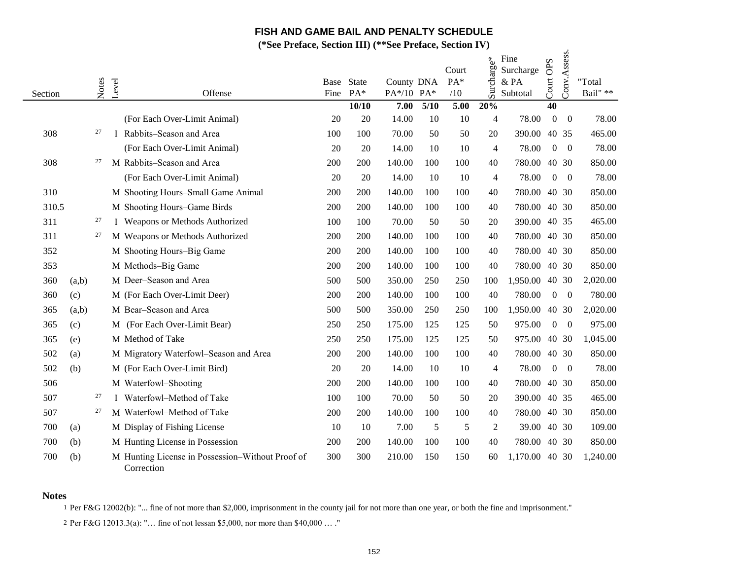**(\*See Preface, Section III) (\*\*See Preface, Section IV)**

| Section |       | Notes | Level | Offense                                                        | Base<br>Fine | State<br>PA* | County DNA<br>PA*/10 PA* |      | Court<br>PA*<br>/10 | Surcharge*     | Fine<br>Surcharge<br>& PA<br>Subtotal | Court OPS        | Conv.Assess.     | "Total<br>Bail" ** |
|---------|-------|-------|-------|----------------------------------------------------------------|--------------|--------------|--------------------------|------|---------------------|----------------|---------------------------------------|------------------|------------------|--------------------|
|         |       |       |       |                                                                |              | 10/10        | 7.00                     | 5/10 | 5.00                | 20%            |                                       | 40               |                  |                    |
|         |       |       |       | (For Each Over-Limit Animal)                                   | 20           | 20           | 14.00                    | 10   | 10                  | $\overline{4}$ | 78.00                                 | $\boldsymbol{0}$ | $\boldsymbol{0}$ | 78.00              |
| 308     |       | 27    |       | Rabbits-Season and Area                                        | 100          | 100          | 70.00                    | 50   | 50                  | 20             | 390.00                                |                  | 40 35            | 465.00             |
|         |       |       |       | (For Each Over-Limit Animal)                                   | 20           | 20           | 14.00                    | 10   | 10                  | $\overline{4}$ | 78.00                                 | $\overline{0}$   | $\overline{0}$   | 78.00              |
| 308     |       | 27    |       | M Rabbits-Season and Area                                      | 200          | 200          | 140.00                   | 100  | 100                 | 40             | 780.00                                |                  | 40 30            | 850.00             |
|         |       |       |       | (For Each Over-Limit Animal)                                   | 20           | 20           | 14.00                    | 10   | 10                  | $\overline{4}$ | 78.00                                 | $\overline{0}$   | $\overline{0}$   | 78.00              |
| 310     |       |       |       | M Shooting Hours-Small Game Animal                             | 200          | 200          | 140.00                   | 100  | 100                 | 40             | 780.00                                |                  | 40 30            | 850.00             |
| 310.5   |       |       |       | M Shooting Hours-Game Birds                                    | 200          | 200          | 140.00                   | 100  | 100                 | 40             | 780.00                                |                  | 40 30            | 850.00             |
| 311     |       | 27    |       | I Weapons or Methods Authorized                                | 100          | 100          | 70.00                    | 50   | 50                  | 20             | 390.00                                |                  | 40 35            | 465.00             |
| 311     |       | 27    |       | M Weapons or Methods Authorized                                | 200          | 200          | 140.00                   | 100  | 100                 | 40             | 780.00                                |                  | 40 30            | 850.00             |
| 352     |       |       |       | M Shooting Hours-Big Game                                      | 200          | 200          | 140.00                   | 100  | 100                 | 40             | 780.00                                |                  | 40 30            | 850.00             |
| 353     |       |       |       | M Methods-Big Game                                             | 200          | 200          | 140.00                   | 100  | 100                 | 40             | 780.00                                |                  | 40 30            | 850.00             |
| 360     | (a,b) |       |       | M Deer-Season and Area                                         | 500          | 500          | 350.00                   | 250  | 250                 | 100            | 1,950.00                              |                  | 40 30            | 2,020.00           |
| 360     | (c)   |       |       | M (For Each Over-Limit Deer)                                   | 200          | 200          | 140.00                   | 100  | 100                 | 40             | 780.00                                | $\mathbf{0}$     | $\boldsymbol{0}$ | 780.00             |
| 365     | (a,b) |       |       | M Bear-Season and Area                                         | 500          | 500          | 350.00                   | 250  | 250                 | 100            | 1,950.00                              |                  | 40 30            | 2,020.00           |
| 365     | (c)   |       |       | M (For Each Over-Limit Bear)                                   | 250          | 250          | 175.00                   | 125  | 125                 | 50             | 975.00                                | $\boldsymbol{0}$ | $\boldsymbol{0}$ | 975.00             |
| 365     | (e)   |       |       | M Method of Take                                               | 250          | 250          | 175.00                   | 125  | 125                 | 50             | 975.00                                |                  | 40 30            | 1,045.00           |
| 502     | (a)   |       |       | M Migratory Waterfowl-Season and Area                          | 200          | 200          | 140.00                   | 100  | 100                 | 40             | 780.00                                |                  | 40 30            | 850.00             |
| 502     | (b)   |       |       | M (For Each Over-Limit Bird)                                   | 20           | 20           | 14.00                    | 10   | 10                  | $\overline{4}$ | 78.00                                 | $\overline{0}$   | $\overline{0}$   | 78.00              |
| 506     |       |       |       | M Waterfowl-Shooting                                           | 200          | 200          | 140.00                   | 100  | 100                 | 40             | 780.00                                |                  | 40 30            | 850.00             |
| 507     |       | 27    |       | I Waterfowl-Method of Take                                     | 100          | 100          | 70.00                    | 50   | 50                  | 20             | 390.00                                |                  | 40 35            | 465.00             |
| 507     |       | 27    |       | M Waterfowl-Method of Take                                     | 200          | 200          | 140.00                   | 100  | 100                 | 40             | 780.00                                |                  | 40 30            | 850.00             |
| 700     | (a)   |       |       | M Display of Fishing License                                   | 10           | 10           | 7.00                     | 5    | 5                   | 2              | 39.00                                 |                  | 40 30            | 109.00             |
| 700     | (b)   |       |       | M Hunting License in Possession                                | 200          | 200          | 140.00                   | 100  | 100                 | 40             | 780.00                                |                  | 40 30            | 850.00             |
| 700     | (b)   |       |       | M Hunting License in Possession-Without Proof of<br>Correction | 300          | 300          | 210.00                   | 150  | 150                 | 60             | 1,170.00                              |                  | 40 30            | 1,240.00           |

#### **Notes**

1 Per F&G 12002(b): "... fine of not more than \$2,000, imprisonment in the county jail for not more than one year, or both the fine and imprisonment."

2 Per F&G 12013.3(a): "… fine of not lessan \$5,000, nor more than \$40,000 … ."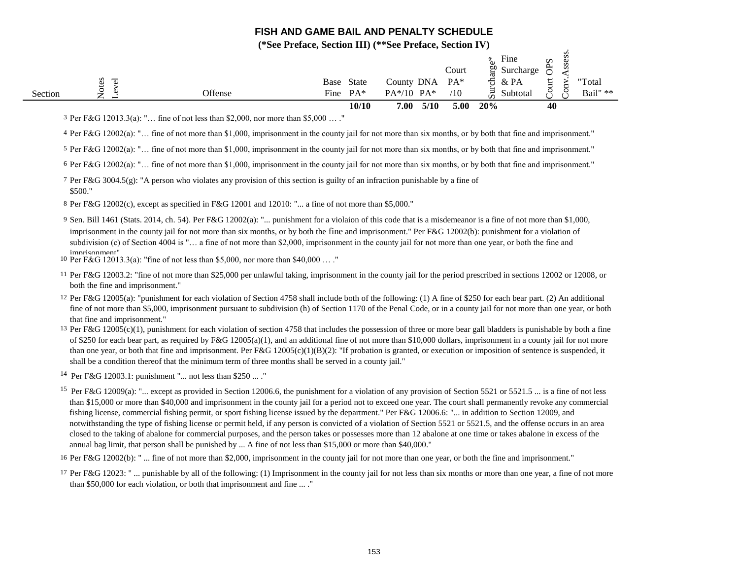**(\*See Preface, Section III) (\*\*See Preface, Section IV)**

 $\cdot$ 

|         |           |         | 10/10                | 7.00<br>5/10 | 5.00   | 20%                      | 40                    |          |
|---------|-----------|---------|----------------------|--------------|--------|--------------------------|-----------------------|----------|
| Section | ⇁<br>∼    | Offense | $PA*$<br>Fine        | $PA*/10 PA*$ | /10    | 5i<br>Subtotal           | بر<br>$\check{ }$     | Bail" ** |
|         | ies<br>್ರ |         | <b>State</b><br>Base | County DNA   | $PA^*$ | & PA<br>ਠ                | ◡<br>ى<br>₩           | "Total   |
|         |           |         |                      |              | Court  | $\frac{50}{4}$ Surcharge | Ω<br>Φ<br>Ō<br>ቋ<br>S |          |
|         |           |         |                      |              |        | Fine<br>∗                |                       |          |

3 Per F&G 12013.3(a): "… fine of not less than \$2,000, nor more than \$5,000 … ."

4 Per F&G 12002(a): "… fine of not more than \$1,000, imprisonment in the county jail for not more than six months, or by both that fine and imprisonment."

5 Per F&G 12002(a): "… fine of not more than \$1,000, imprisonment in the county jail for not more than six months, or by both that fine and imprisonment."

6 Per F&G 12002(a): "… fine of not more than \$1,000, imprisonment in the county jail for not more than six months, or by both that fine and imprisonment."

7 Per F&G 3004.5(g): "A person who violates any provision of this section is guilty of an infraction punishable by a fine of \$500."

8 Per F&G 12002(c), except as specified in F&G 12001 and 12010: "... a fine of not more than \$5,000."

9 Sen. Bill 1461 (Stats. 2014, ch. 54). Per F&G 12002(a): "... punishment for a violaion of this code that is a misdemeanor is a fine of not more than \$1,000, imprisonment in the county jail for not more than six months, or by both the fine and imprisonment." Per F&G 12002(b): punishment for a violation of subdivision (c) of Section 4004 is "... a fine of not more than \$2,000, imprisonment in the county jail for not more than one year, or both the fine and imprisonment"

10 Per F&G 12013.3(a): "fine of not less than \$5,000, nor more than \$40,000 … ."

11 Per F&G 12003.2: "fine of not more than \$25,000 per unlawful taking, imprisonment in the county jail for the period prescribed in sections 12002 or 12008, or both the fine and imprisonment."

12 Per F&G 12005(a): "punishment for each violation of Section 4758 shall include both of the following: (1) A fine of \$250 for each bear part. (2) An additional fine of not more than \$5,000, imprisonment pursuant to subdivision (h) of Section 1170 of the Penal Code, or in a county jail for not more than one year, or both that fine and imprisonment."

13 Per F&G 12005(c)(1), punishment for each violation of section 4758 that includes the possession of three or more bear gall bladders is punishable by both a fine of \$250 for each bear part, as required by F&G 12005(a)(1), and an additional fine of not more than \$10,000 dollars, imprisonment in a county jail for not more than one year, or both that fine and imprisonment. Per  $F\&G 12005(c)(1)(B)(2)$ : "If probation is granted, or execution or imposition of sentence is suspended, it shall be a condition thereof that the minimum term of three months shall be served in a county jail."

14 Per F&G 12003.1: punishment "... not less than \$250 ... ."

<sup>15</sup> Per F&G 12009(a): "... except as provided in Section 12006.6, the punishment for a violation of any provision of Section 5521 or 5521.5 ... is a fine of not less than \$15,000 or more than \$40,000 and imprisonment in the county jail for a period not to exceed one year. The court shall permanently revoke any commercial fishing license, commercial fishing permit, or sport fishing license issued by the department." Per F&G 12006.6: "... in addition to Section 12009, and notwithstanding the type of fishing license or permit held, if any person is convicted of a violation of Section 5521 or 5521.5, and the offense occurs in an area closed to the taking of abalone for commercial purposes, and the person takes or possesses more than 12 abalone at one time or takes abalone in excess of the annual bag limit, that person shall be punished by ... A fine of not less than \$15,000 or more than \$40,000."

16 Per F&G 12002(b): " ... fine of not more than \$2,000, imprisonment in the county jail for not more than one year, or both the fine and imprisonment."

17 Per F&G 12023: " ... punishable by all of the following: (1) Imprisonment in the county jail for not less than six months or more than one year, a fine of not more than \$50,000 for each violation, or both that imprisonment and fine ... ."